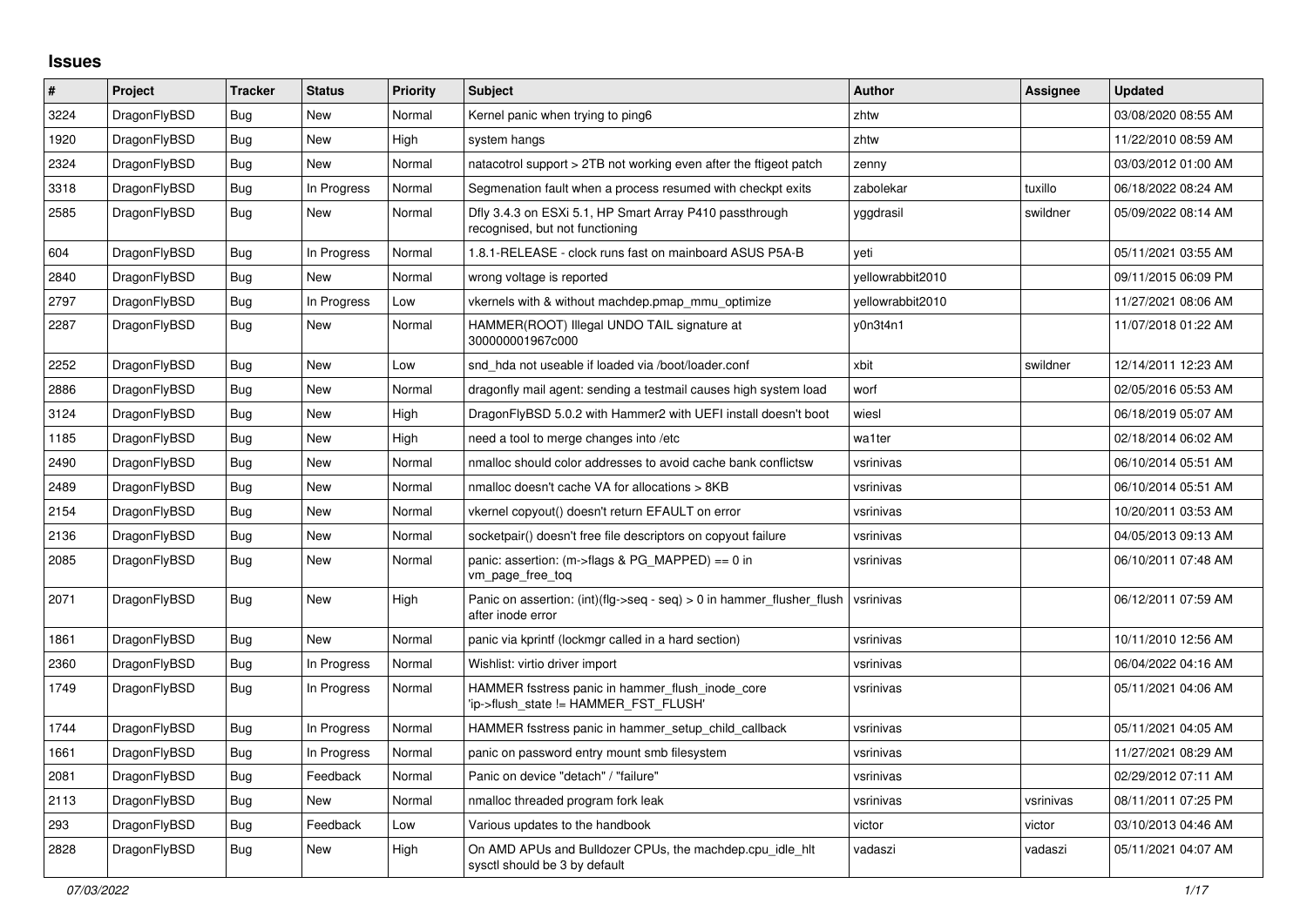## **Issues**

| #    | <b>Project</b> | <b>Tracker</b> | <b>Status</b> | <b>Priority</b> | <b>Subject</b>                                                                                | <b>Author</b>    | Assignee  | <b>Updated</b>      |
|------|----------------|----------------|---------------|-----------------|-----------------------------------------------------------------------------------------------|------------------|-----------|---------------------|
| 3224 | DragonFlyBSD   | Bug            | <b>New</b>    | Normal          | Kernel panic when trying to ping6                                                             | zhtw             |           | 03/08/2020 08:55 AM |
| 1920 | DragonFlyBSD   | <b>Bug</b>     | <b>New</b>    | High            | system hangs                                                                                  | zhtw             |           | 11/22/2010 08:59 AM |
| 2324 | DragonFlyBSD   | <b>Bug</b>     | <b>New</b>    | Normal          | natacotrol support > 2TB not working even after the ftigeot patch                             | zenny            |           | 03/03/2012 01:00 AM |
| 3318 | DragonFlyBSD   | <b>Bug</b>     | In Progress   | Normal          | Segmenation fault when a process resumed with checkpt exits                                   | zabolekar        | tuxillo   | 06/18/2022 08:24 AM |
| 2585 | DragonFlyBSD   | <b>Bug</b>     | New           | Normal          | Dfly 3.4.3 on ESXi 5.1, HP Smart Array P410 passthrough<br>recognised, but not functioning    | yggdrasil        | swildner  | 05/09/2022 08:14 AM |
| 604  | DragonFlyBSD   | Bug            | In Progress   | Normal          | 1.8.1-RELEASE - clock runs fast on mainboard ASUS P5A-B                                       | yeti             |           | 05/11/2021 03:55 AM |
| 2840 | DragonFlyBSD   | Bug            | <b>New</b>    | Normal          | wrong voltage is reported                                                                     | vellowrabbit2010 |           | 09/11/2015 06:09 PM |
| 2797 | DragonFlyBSD   | Bug            | In Progress   | Low             | vkernels with & without machdep.pmap mmu optimize                                             | yellowrabbit2010 |           | 11/27/2021 08:06 AM |
| 2287 | DragonFlyBSD   | Bug            | New           | Normal          | HAMMER(ROOT) Illegal UNDO TAIL signature at<br>300000001967c000                               | v0n3t4n1         |           | 11/07/2018 01:22 AM |
| 2252 | DragonFlyBSD   | <b>Bug</b>     | <b>New</b>    | Low             | snd hda not useable if loaded via /boot/loader.conf                                           | xbit             | swildner  | 12/14/2011 12:23 AM |
| 2886 | DragonFlyBSD   | Bug            | New           | Normal          | dragonfly mail agent: sending a testmail causes high system load                              | worf             |           | 02/05/2016 05:53 AM |
| 3124 | DragonFlyBSD   | Bug            | New           | High            | DragonFlyBSD 5.0.2 with Hammer2 with UEFI install doesn't boot                                | wiesl            |           | 06/18/2019 05:07 AM |
| 1185 | DragonFlyBSD   | Bug            | <b>New</b>    | High            | need a tool to merge changes into /etc                                                        | wa1ter           |           | 02/18/2014 06:02 AM |
| 2490 | DragonFlyBSD   | <b>Bug</b>     | New           | Normal          | nmalloc should color addresses to avoid cache bank conflictsw                                 | vsrinivas        |           | 06/10/2014 05:51 AM |
| 2489 | DragonFlyBSD   | Bug            | New           | Normal          | nmalloc doesn't cache VA for allocations > 8KB                                                | vsrinivas        |           | 06/10/2014 05:51 AM |
| 2154 | DragonFlyBSD   | Bug            | New           | Normal          | vkernel copyout() doesn't return EFAULT on error                                              | vsrinivas        |           | 10/20/2011 03:53 AM |
| 2136 | DragonFlyBSD   | Bug            | New           | Normal          | socketpair() doesn't free file descriptors on copyout failure                                 | vsrinivas        |           | 04/05/2013 09:13 AM |
| 2085 | DragonFlyBSD   | <b>Bug</b>     | <b>New</b>    | Normal          | panic: assertion: $(m\rightarrow$ flags & PG MAPPED) == 0 in<br>vm_page_free_toq              | vsrinivas        |           | 06/10/2011 07:48 AM |
| 2071 | DragonFlyBSD   | Bug            | <b>New</b>    | High            | Panic on assertion: $(int)(flag->seq - seq) > 0$ in hammer flusher flush<br>after inode error | vsrinivas        |           | 06/12/2011 07:59 AM |
| 1861 | DragonFlyBSD   | <b>Bug</b>     | <b>New</b>    | Normal          | panic via kprintf (lockmgr called in a hard section)                                          | vsrinivas        |           | 10/11/2010 12:56 AM |
| 2360 | DragonFlyBSD   | Bug            | In Progress   | Normal          | Wishlist: virtio driver import                                                                | vsrinivas        |           | 06/04/2022 04:16 AM |
| 1749 | DragonFlyBSD   | Bug            | In Progress   | Normal          | HAMMER fsstress panic in hammer flush inode core<br>'ip->flush_state != HAMMER_FST_FLUSH'     | vsrinivas        |           | 05/11/2021 04:06 AM |
| 1744 | DragonFlyBSD   | Bug            | In Progress   | Normal          | HAMMER fsstress panic in hammer setup child callback                                          | vsrinivas        |           | 05/11/2021 04:05 AM |
| 1661 | DragonFlyBSD   | Bug            | In Progress   | Normal          | panic on password entry mount smb filesystem                                                  | vsrinivas        |           | 11/27/2021 08:29 AM |
| 2081 | DragonFlyBSD   | <b>Bug</b>     | Feedback      | Normal          | Panic on device "detach" / "failure"                                                          | vsrinivas        |           | 02/29/2012 07:11 AM |
| 2113 | DragonFlyBSD   | Bug            | <b>New</b>    | Normal          | nmalloc threaded program fork leak                                                            | vsrinivas        | vsrinivas | 08/11/2011 07:25 PM |
| 293  | DragonFlyBSD   | Bug            | Feedback      | Low             | Various updates to the handbook                                                               | victor           | victor    | 03/10/2013 04:46 AM |
| 2828 | DragonFlyBSD   | Bug            | <b>New</b>    | High            | On AMD APUs and Bulldozer CPUs, the machdep.cpu_idle_hlt<br>sysctl should be 3 by default     | vadaszi          | vadaszi   | 05/11/2021 04:07 AM |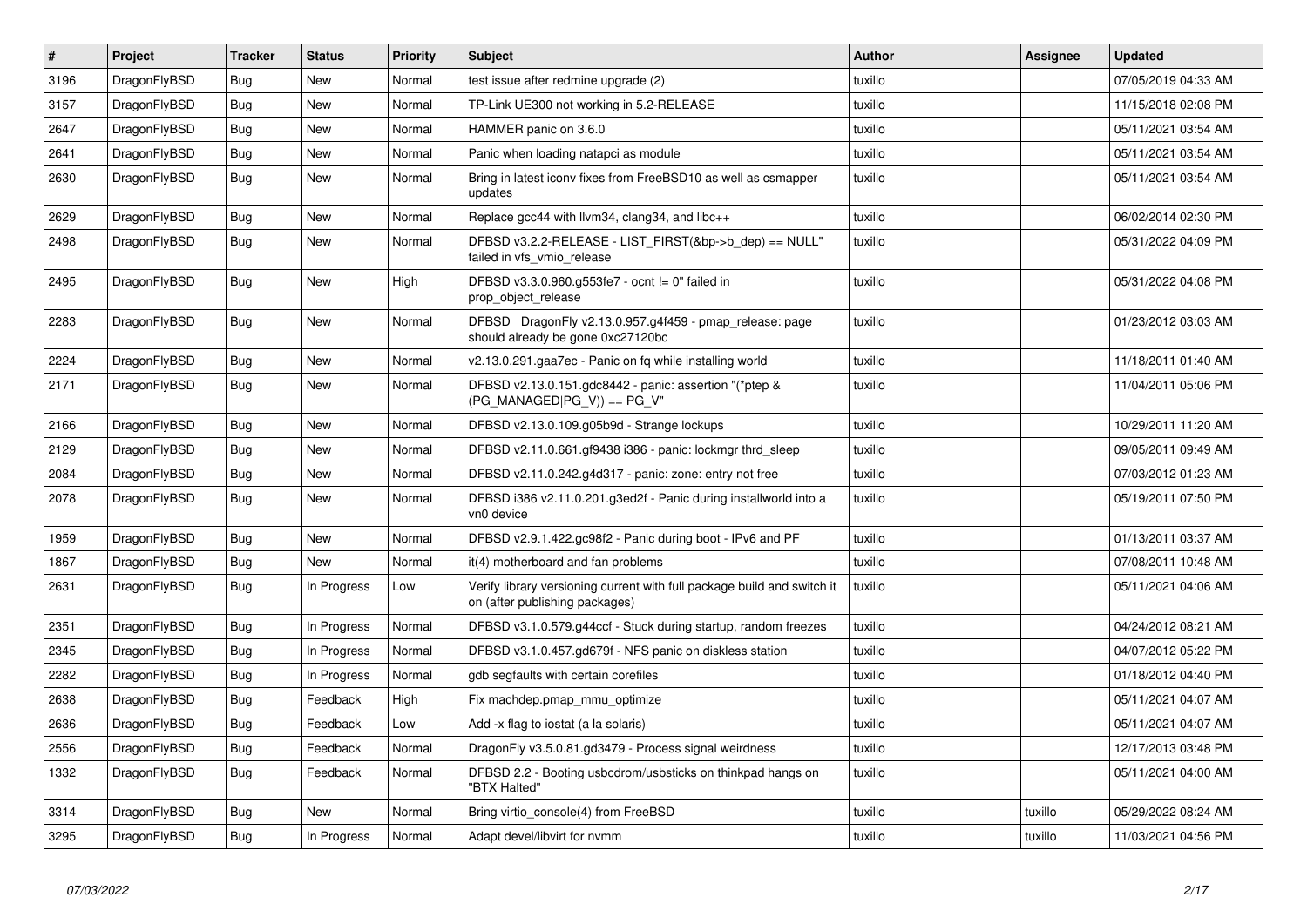| $\vert$ # | Project      | <b>Tracker</b> | <b>Status</b> | <b>Priority</b> | <b>Subject</b>                                                                                            | <b>Author</b> | Assignee | <b>Updated</b>      |
|-----------|--------------|----------------|---------------|-----------------|-----------------------------------------------------------------------------------------------------------|---------------|----------|---------------------|
| 3196      | DragonFlyBSD | Bug            | <b>New</b>    | Normal          | test issue after redmine upgrade (2)                                                                      | tuxillo       |          | 07/05/2019 04:33 AM |
| 3157      | DragonFlyBSD | <b>Bug</b>     | <b>New</b>    | Normal          | TP-Link UE300 not working in 5.2-RELEASE                                                                  | tuxillo       |          | 11/15/2018 02:08 PM |
| 2647      | DragonFlyBSD | Bug            | <b>New</b>    | Normal          | HAMMER panic on 3.6.0                                                                                     | tuxillo       |          | 05/11/2021 03:54 AM |
| 2641      | DragonFlyBSD | <b>Bug</b>     | New           | Normal          | Panic when loading natapci as module                                                                      | tuxillo       |          | 05/11/2021 03:54 AM |
| 2630      | DragonFlyBSD | Bug            | <b>New</b>    | Normal          | Bring in latest iconv fixes from FreeBSD10 as well as csmapper<br>updates                                 | tuxillo       |          | 05/11/2021 03:54 AM |
| 2629      | DragonFlyBSD | <b>Bug</b>     | <b>New</b>    | Normal          | Replace gcc44 with llvm34, clang34, and libc++                                                            | tuxillo       |          | 06/02/2014 02:30 PM |
| 2498      | DragonFlyBSD | Bug            | <b>New</b>    | Normal          | DFBSD v3.2.2-RELEASE - LIST FIRST(&bp->b dep) == NULL"<br>failed in vfs_vmio_release                      | tuxillo       |          | 05/31/2022 04:09 PM |
| 2495      | DragonFlyBSD | <b>Bug</b>     | <b>New</b>    | High            | DFBSD v3.3.0.960.g553fe7 - ocnt != 0" failed in<br>prop_object_release                                    | tuxillo       |          | 05/31/2022 04:08 PM |
| 2283      | DragonFlyBSD | <b>Bug</b>     | <b>New</b>    | Normal          | DFBSD DragonFly v2.13.0.957.g4f459 - pmap_release: page<br>should already be gone 0xc27120bc              | tuxillo       |          | 01/23/2012 03:03 AM |
| 2224      | DragonFlyBSD | Bug            | <b>New</b>    | Normal          | v2.13.0.291.gaa7ec - Panic on fq while installing world                                                   | tuxillo       |          | 11/18/2011 01:40 AM |
| 2171      | DragonFlyBSD | <b>Bug</b>     | <b>New</b>    | Normal          | DFBSD v2.13.0.151.gdc8442 - panic: assertion "(*ptep &<br>$(PG_MANAGED PG_V)$ == PG_V"                    | tuxillo       |          | 11/04/2011 05:06 PM |
| 2166      | DragonFlyBSD | <b>Bug</b>     | <b>New</b>    | Normal          | DFBSD v2.13.0.109.g05b9d - Strange lockups                                                                | tuxillo       |          | 10/29/2011 11:20 AM |
| 2129      | DragonFlyBSD | Bug            | <b>New</b>    | Normal          | DFBSD v2.11.0.661.gf9438 i386 - panic: lockmgr thrd sleep                                                 | tuxillo       |          | 09/05/2011 09:49 AM |
| 2084      | DragonFlyBSD | <b>Bug</b>     | <b>New</b>    | Normal          | DFBSD v2.11.0.242.g4d317 - panic: zone: entry not free                                                    | tuxillo       |          | 07/03/2012 01:23 AM |
| 2078      | DragonFlyBSD | <b>Bug</b>     | <b>New</b>    | Normal          | DFBSD i386 v2.11.0.201.g3ed2f - Panic during installworld into a<br>vn0 device                            | tuxillo       |          | 05/19/2011 07:50 PM |
| 1959      | DragonFlyBSD | Bug            | <b>New</b>    | Normal          | DFBSD v2.9.1.422.gc98f2 - Panic during boot - IPv6 and PF                                                 | tuxillo       |          | 01/13/2011 03:37 AM |
| 1867      | DragonFlyBSD | <b>Bug</b>     | <b>New</b>    | Normal          | it(4) motherboard and fan problems                                                                        | tuxillo       |          | 07/08/2011 10:48 AM |
| 2631      | DragonFlyBSD | Bug            | In Progress   | Low             | Verify library versioning current with full package build and switch it<br>on (after publishing packages) | tuxillo       |          | 05/11/2021 04:06 AM |
| 2351      | DragonFlyBSD | Bug            | In Progress   | Normal          | DFBSD v3.1.0.579.g44ccf - Stuck during startup, random freezes                                            | tuxillo       |          | 04/24/2012 08:21 AM |
| 2345      | DragonFlyBSD | Bug            | In Progress   | Normal          | DFBSD v3.1.0.457.gd679f - NFS panic on diskless station                                                   | tuxillo       |          | 04/07/2012 05:22 PM |
| 2282      | DragonFlyBSD | <b>Bug</b>     | In Progress   | Normal          | gdb segfaults with certain corefiles                                                                      | tuxillo       |          | 01/18/2012 04:40 PM |
| 2638      | DragonFlyBSD | Bug            | Feedback      | High            | Fix machdep.pmap mmu optimize                                                                             | tuxillo       |          | 05/11/2021 04:07 AM |
| 2636      | DragonFlyBSD | <b>Bug</b>     | Feedback      | Low             | Add -x flag to iostat (a la solaris)                                                                      | tuxillo       |          | 05/11/2021 04:07 AM |
| 2556      | DragonFlyBSD | <b>Bug</b>     | Feedback      | Normal          | DragonFly v3.5.0.81.gd3479 - Process signal weirdness                                                     | tuxillo       |          | 12/17/2013 03:48 PM |
| 1332      | DragonFlyBSD | <b>Bug</b>     | Feedback      | Normal          | DFBSD 2.2 - Booting usbcdrom/usbsticks on thinkpad hangs on<br>"BTX Halted"                               | tuxillo       |          | 05/11/2021 04:00 AM |
| 3314      | DragonFlyBSD | Bug            | <b>New</b>    | Normal          | Bring virtio console(4) from FreeBSD                                                                      | tuxillo       | tuxillo  | 05/29/2022 08:24 AM |
| 3295      | DragonFlyBSD | <b>Bug</b>     | In Progress   | Normal          | Adapt devel/libvirt for nymm                                                                              | tuxillo       | tuxillo  | 11/03/2021 04:56 PM |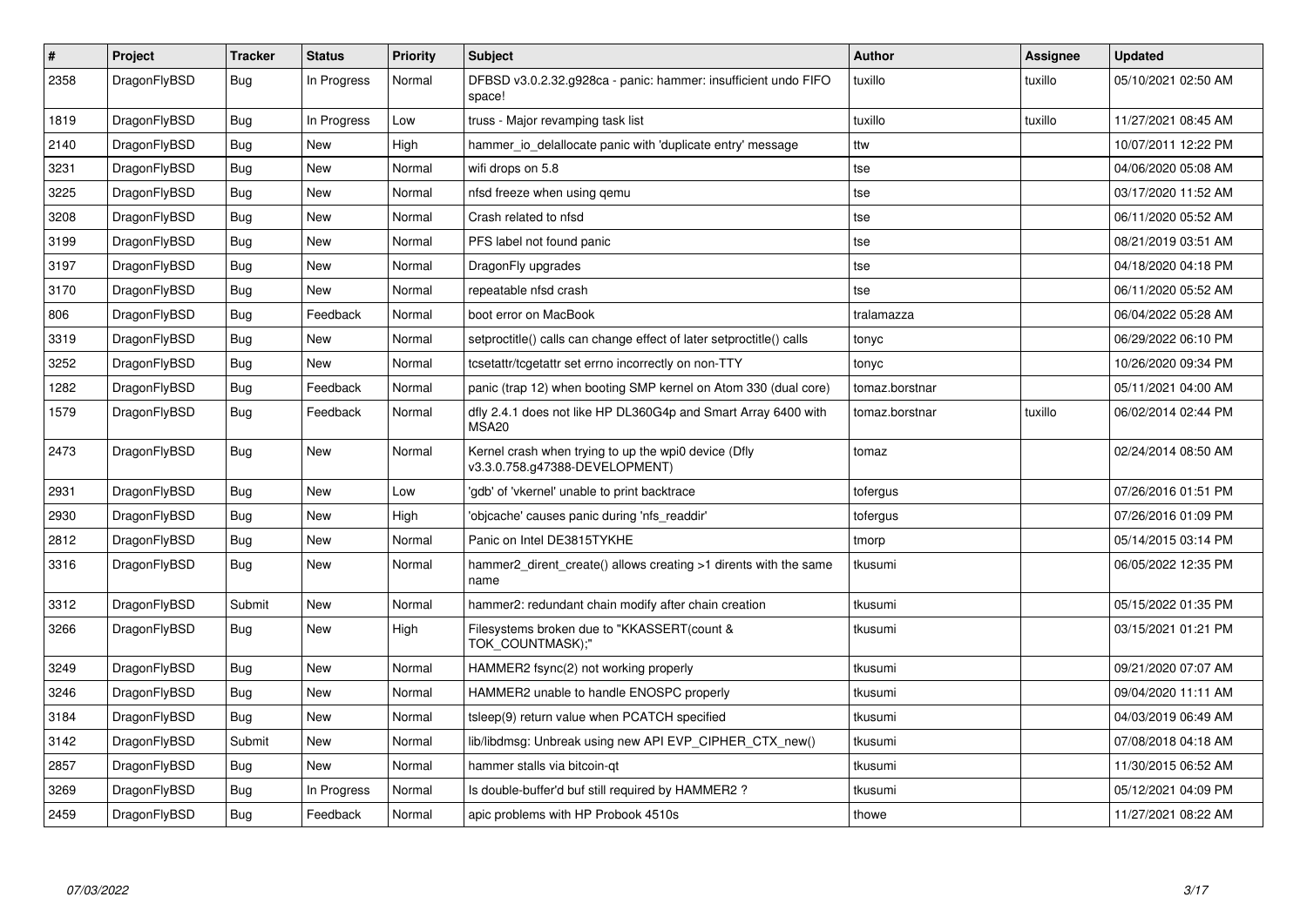| $\vert$ # | <b>Project</b> | <b>Tracker</b> | <b>Status</b> | <b>Priority</b> | Subject                                                                                | <b>Author</b>  | Assignee | <b>Updated</b>      |
|-----------|----------------|----------------|---------------|-----------------|----------------------------------------------------------------------------------------|----------------|----------|---------------------|
| 2358      | DragonFlyBSD   | Bug            | In Progress   | Normal          | DFBSD v3.0.2.32.g928ca - panic: hammer: insufficient undo FIFO<br>space!               | tuxillo        | tuxillo  | 05/10/2021 02:50 AM |
| 1819      | DragonFlyBSD   | <b>Bug</b>     | In Progress   | Low             | truss - Major revamping task list                                                      | tuxillo        | tuxillo  | 11/27/2021 08:45 AM |
| 2140      | DragonFlyBSD   | Bug            | New           | High            | hammer io delallocate panic with 'duplicate entry' message                             | ttw            |          | 10/07/2011 12:22 PM |
| 3231      | DragonFlyBSD   | <b>Bug</b>     | <b>New</b>    | Normal          | wifi drops on 5.8                                                                      | tse            |          | 04/06/2020 05:08 AM |
| 3225      | DragonFlyBSD   | <b>Bug</b>     | New           | Normal          | nfsd freeze when using qemu                                                            | tse            |          | 03/17/2020 11:52 AM |
| 3208      | DragonFlyBSD   | <b>Bug</b>     | New           | Normal          | Crash related to nfsd                                                                  | tse            |          | 06/11/2020 05:52 AM |
| 3199      | DragonFlyBSD   | <b>Bug</b>     | New           | Normal          | PFS label not found panic                                                              | tse            |          | 08/21/2019 03:51 AM |
| 3197      | DragonFlyBSD   | Bug            | New           | Normal          | DragonFly upgrades                                                                     | tse            |          | 04/18/2020 04:18 PM |
| 3170      | DragonFlyBSD   | Bug            | <b>New</b>    | Normal          | repeatable nfsd crash                                                                  | tse            |          | 06/11/2020 05:52 AM |
| 806       | DragonFlyBSD   | Bug            | Feedback      | Normal          | boot error on MacBook                                                                  | tralamazza     |          | 06/04/2022 05:28 AM |
| 3319      | DragonFlyBSD   | <b>Bug</b>     | <b>New</b>    | Normal          | setproctitle() calls can change effect of later setproctitle() calls                   | tonyc          |          | 06/29/2022 06:10 PM |
| 3252      | DragonFlyBSD   | <b>Bug</b>     | <b>New</b>    | Normal          | tcsetattr/tcgetattr set errno incorrectly on non-TTY                                   | tonyc          |          | 10/26/2020 09:34 PM |
| 1282      | DragonFlyBSD   | <b>Bug</b>     | Feedback      | Normal          | panic (trap 12) when booting SMP kernel on Atom 330 (dual core)                        | tomaz.borstnar |          | 05/11/2021 04:00 AM |
| 1579      | DragonFlyBSD   | Bug            | Feedback      | Normal          | dfly 2.4.1 does not like HP DL360G4p and Smart Array 6400 with<br>MSA <sub>20</sub>    | tomaz.borstnar | tuxillo  | 06/02/2014 02:44 PM |
| 2473      | DragonFlyBSD   | Bug            | New           | Normal          | Kernel crash when trying to up the wpi0 device (Dfly<br>v3.3.0.758.g47388-DEVELOPMENT) | tomaz          |          | 02/24/2014 08:50 AM |
| 2931      | DragonFlyBSD   | <b>Bug</b>     | <b>New</b>    | Low             | 'gdb' of 'vkernel' unable to print backtrace                                           | tofergus       |          | 07/26/2016 01:51 PM |
| 2930      | DragonFlyBSD   | Bug            | <b>New</b>    | High            | 'objcache' causes panic during 'nfs readdir'                                           | tofergus       |          | 07/26/2016 01:09 PM |
| 2812      | DragonFlyBSD   | Bug            | New           | Normal          | Panic on Intel DE3815TYKHE                                                             | tmorp          |          | 05/14/2015 03:14 PM |
| 3316      | DragonFlyBSD   | <b>Bug</b>     | New           | Normal          | hammer2 dirent create() allows creating >1 dirents with the same<br>name               | tkusumi        |          | 06/05/2022 12:35 PM |
| 3312      | DragonFlyBSD   | Submit         | <b>New</b>    | Normal          | hammer2: redundant chain modify after chain creation                                   | tkusumi        |          | 05/15/2022 01:35 PM |
| 3266      | DragonFlyBSD   | Bug            | New           | High            | Filesystems broken due to "KKASSERT(count &<br>TOK COUNTMASK);"                        | tkusumi        |          | 03/15/2021 01:21 PM |
| 3249      | DragonFlyBSD   | <b>Bug</b>     | <b>New</b>    | Normal          | HAMMER2 fsync(2) not working properly                                                  | tkusumi        |          | 09/21/2020 07:07 AM |
| 3246      | DragonFlyBSD   | Bug            | New           | Normal          | HAMMER2 unable to handle ENOSPC properly                                               | tkusumi        |          | 09/04/2020 11:11 AM |
| 3184      | DragonFlyBSD   | Bug            | New           | Normal          | tsleep(9) return value when PCATCH specified                                           | tkusumi        |          | 04/03/2019 06:49 AM |
| 3142      | DragonFlyBSD   | Submit         | New           | Normal          | lib/libdmsg: Unbreak using new API EVP_CIPHER_CTX_new()                                | tkusumi        |          | 07/08/2018 04:18 AM |
| 2857      | DragonFlyBSD   | <b>Bug</b>     | <b>New</b>    | Normal          | hammer stalls via bitcoin-qt                                                           | tkusumi        |          | 11/30/2015 06:52 AM |
| 3269      | DragonFlyBSD   | Bug            | In Progress   | Normal          | Is double-buffer'd buf still required by HAMMER2?                                      | tkusumi        |          | 05/12/2021 04:09 PM |
| 2459      | DragonFlyBSD   | Bug            | Feedback      | Normal          | apic problems with HP Probook 4510s                                                    | thowe          |          | 11/27/2021 08:22 AM |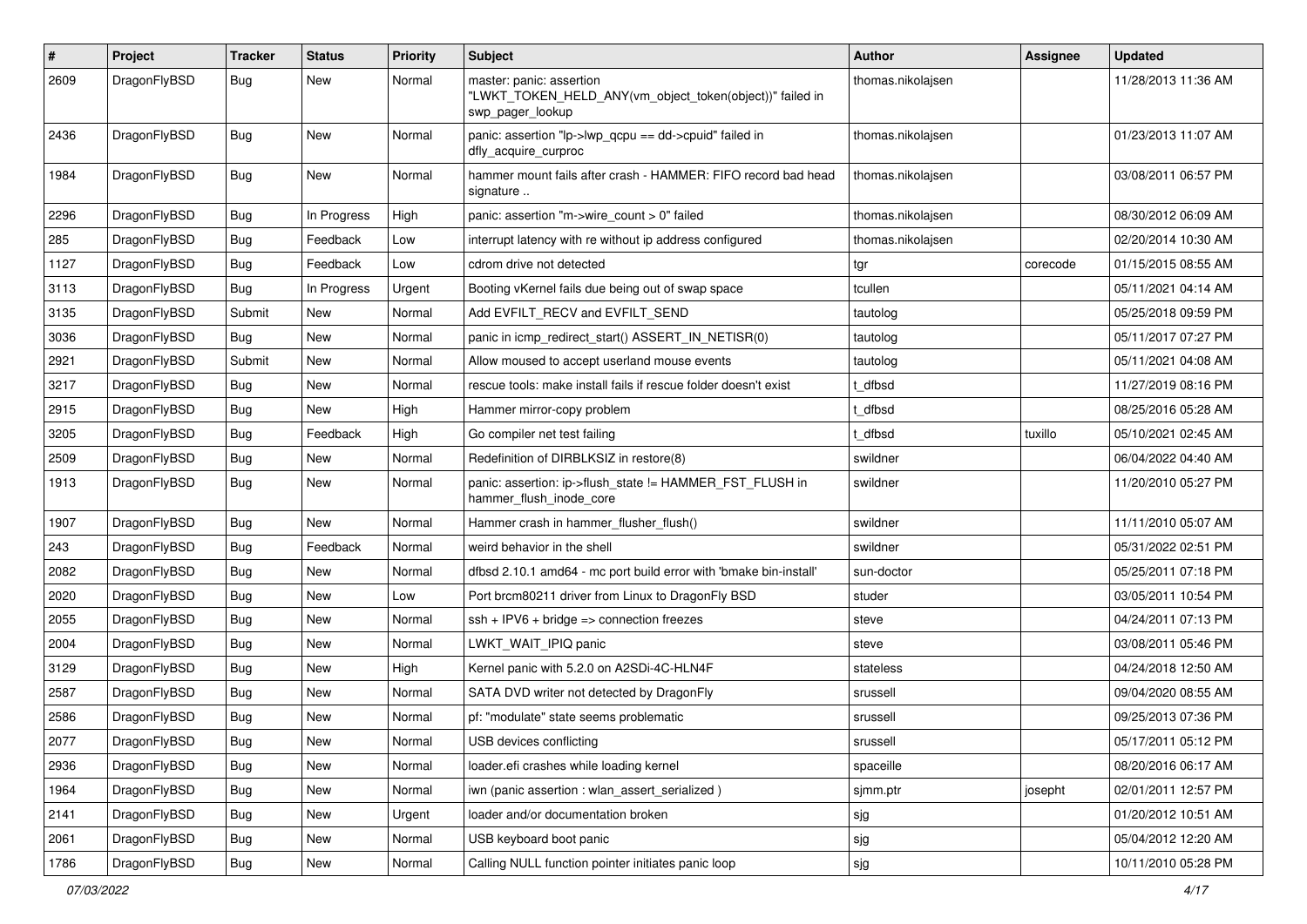| $\pmb{\#}$ | Project      | <b>Tracker</b> | <b>Status</b> | <b>Priority</b> | Subject                                                                                                  | <b>Author</b>     | Assignee | <b>Updated</b>      |
|------------|--------------|----------------|---------------|-----------------|----------------------------------------------------------------------------------------------------------|-------------------|----------|---------------------|
| 2609       | DragonFlyBSD | Bug            | New           | Normal          | master: panic: assertion<br>"LWKT_TOKEN_HELD_ANY(vm_object_token(object))" failed in<br>swp_pager_lookup | thomas.nikolajsen |          | 11/28/2013 11:36 AM |
| 2436       | DragonFlyBSD | Bug            | New           | Normal          | panic: assertion "lp->lwp_qcpu == dd->cpuid" failed in<br>dfly_acquire_curproc                           | thomas.nikolajsen |          | 01/23/2013 11:07 AM |
| 1984       | DragonFlyBSD | Bug            | New           | Normal          | hammer mount fails after crash - HAMMER: FIFO record bad head<br>signature                               | thomas.nikolajsen |          | 03/08/2011 06:57 PM |
| 2296       | DragonFlyBSD | <b>Bug</b>     | In Progress   | High            | panic: assertion "m->wire count > 0" failed                                                              | thomas.nikolajsen |          | 08/30/2012 06:09 AM |
| 285        | DragonFlyBSD | <b>Bug</b>     | Feedback      | Low             | interrupt latency with re without ip address configured                                                  | thomas.nikolajsen |          | 02/20/2014 10:30 AM |
| 1127       | DragonFlyBSD | <b>Bug</b>     | Feedback      | Low             | cdrom drive not detected                                                                                 | tgr               | corecode | 01/15/2015 08:55 AM |
| 3113       | DragonFlyBSD | Bug            | In Progress   | Urgent          | Booting vKernel fails due being out of swap space                                                        | tcullen           |          | 05/11/2021 04:14 AM |
| 3135       | DragonFlyBSD | Submit         | New           | Normal          | Add EVFILT RECV and EVFILT SEND                                                                          | tautolog          |          | 05/25/2018 09:59 PM |
| 3036       | DragonFlyBSD | <b>Bug</b>     | <b>New</b>    | Normal          | panic in icmp redirect start() ASSERT IN NETISR(0)                                                       | tautolog          |          | 05/11/2017 07:27 PM |
| 2921       | DragonFlyBSD | Submit         | New           | Normal          | Allow moused to accept userland mouse events                                                             | tautolog          |          | 05/11/2021 04:08 AM |
| 3217       | DragonFlyBSD | Bug            | New           | Normal          | rescue tools: make install fails if rescue folder doesn't exist                                          | t dfbsd           |          | 11/27/2019 08:16 PM |
| 2915       | DragonFlyBSD | Bug            | New           | High            | Hammer mirror-copy problem                                                                               | t dfbsd           |          | 08/25/2016 05:28 AM |
| 3205       | DragonFlyBSD | Bug            | Feedback      | High            | Go compiler net test failing                                                                             | t dfbsd           | tuxillo  | 05/10/2021 02:45 AM |
| 2509       | DragonFlyBSD | Bug            | <b>New</b>    | Normal          | Redefinition of DIRBLKSIZ in restore(8)                                                                  | swildner          |          | 06/04/2022 04:40 AM |
| 1913       | DragonFlyBSD | Bug            | New           | Normal          | panic: assertion: ip->flush state != HAMMER FST FLUSH in<br>hammer_flush_inode_core                      | swildner          |          | 11/20/2010 05:27 PM |
| 1907       | DragonFlyBSD | <b>Bug</b>     | <b>New</b>    | Normal          | Hammer crash in hammer_flusher_flush()                                                                   | swildner          |          | 11/11/2010 05:07 AM |
| 243        | DragonFlyBSD | <b>Bug</b>     | Feedback      | Normal          | weird behavior in the shell                                                                              | swildner          |          | 05/31/2022 02:51 PM |
| 2082       | DragonFlyBSD | Bug            | <b>New</b>    | Normal          | dfbsd 2.10.1 amd64 - mc port build error with 'bmake bin-install'                                        | sun-doctor        |          | 05/25/2011 07:18 PM |
| 2020       | DragonFlyBSD | Bug            | New           | Low             | Port brcm80211 driver from Linux to DragonFly BSD                                                        | studer            |          | 03/05/2011 10:54 PM |
| 2055       | DragonFlyBSD | <b>Bug</b>     | New           | Normal          | $ssh + IPV6 + bridge \Rightarrow connection freezes$                                                     | steve             |          | 04/24/2011 07:13 PM |
| 2004       | DragonFlyBSD | <b>Bug</b>     | <b>New</b>    | Normal          | LWKT_WAIT_IPIQ panic                                                                                     | steve             |          | 03/08/2011 05:46 PM |
| 3129       | DragonFlyBSD | <b>Bug</b>     | New           | High            | Kernel panic with 5.2.0 on A2SDi-4C-HLN4F                                                                | stateless         |          | 04/24/2018 12:50 AM |
| 2587       | DragonFlyBSD | Bug            | New           | Normal          | SATA DVD writer not detected by DragonFly                                                                | srussell          |          | 09/04/2020 08:55 AM |
| 2586       | DragonFlyBSD | Bug            | New           | Normal          | pf: "modulate" state seems problematic                                                                   | srussell          |          | 09/25/2013 07:36 PM |
| 2077       | DragonFlyBSD | <b>Bug</b>     | New           | Normal          | USB devices conflicting                                                                                  | srussell          |          | 05/17/2011 05:12 PM |
| 2936       | DragonFlyBSD | Bug            | <b>New</b>    | Normal          | loader.efi crashes while loading kernel                                                                  | spaceille         |          | 08/20/2016 06:17 AM |
| 1964       | DragonFlyBSD | <b>Bug</b>     | New           | Normal          | iwn (panic assertion : wlan assert serialized)                                                           | sjmm.ptr          | josepht  | 02/01/2011 12:57 PM |
| 2141       | DragonFlyBSD | Bug            | New           | Urgent          | loader and/or documentation broken                                                                       | sjg               |          | 01/20/2012 10:51 AM |
| 2061       | DragonFlyBSD | <b>Bug</b>     | New           | Normal          | USB keyboard boot panic                                                                                  | sjg               |          | 05/04/2012 12:20 AM |
| 1786       | DragonFlyBSD | Bug            | New           | Normal          | Calling NULL function pointer initiates panic loop                                                       | sjg               |          | 10/11/2010 05:28 PM |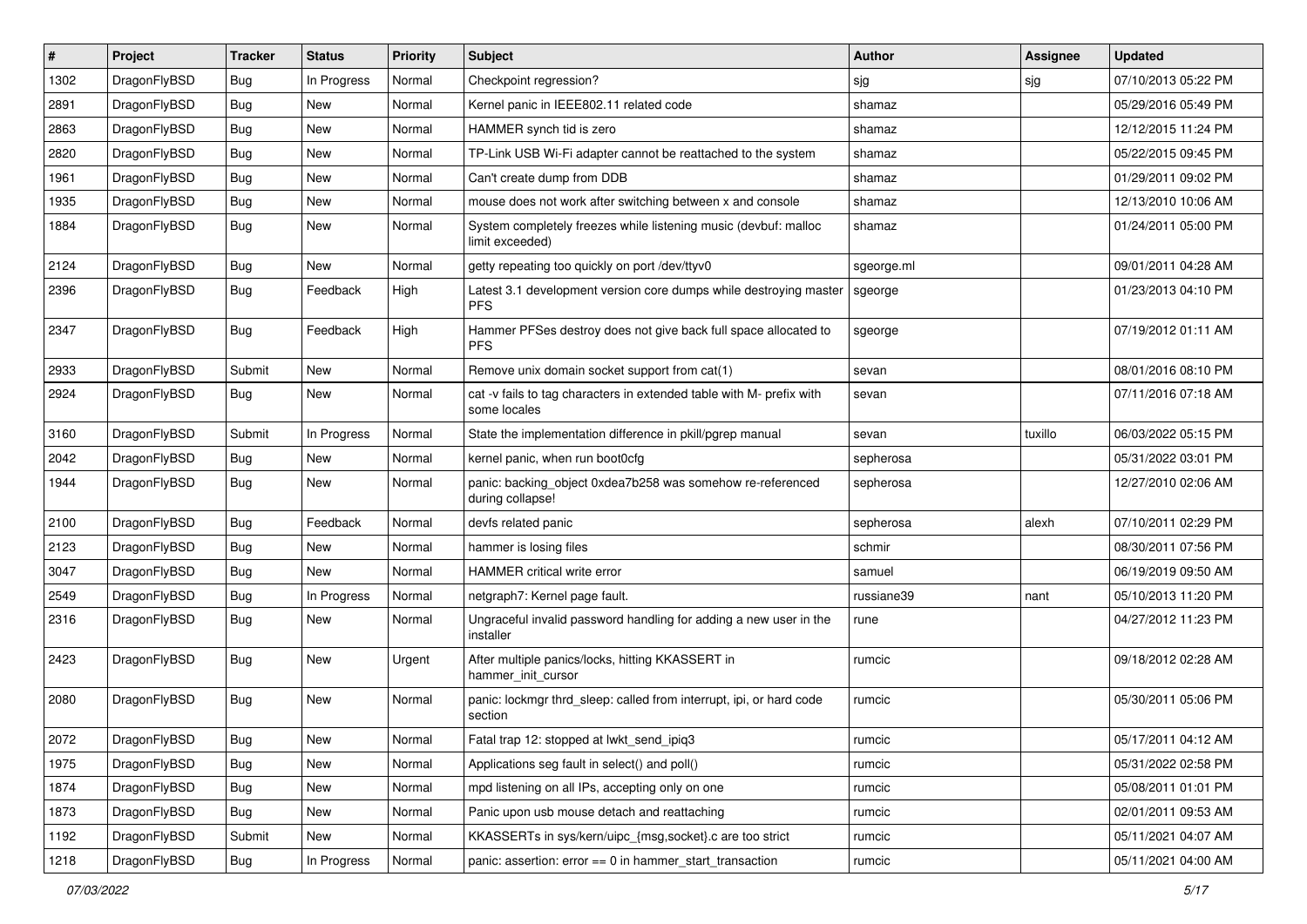| $\vert$ # | Project      | <b>Tracker</b> | <b>Status</b> | <b>Priority</b> | Subject                                                                              | <b>Author</b> | <b>Assignee</b> | <b>Updated</b>      |
|-----------|--------------|----------------|---------------|-----------------|--------------------------------------------------------------------------------------|---------------|-----------------|---------------------|
| 1302      | DragonFlyBSD | <b>Bug</b>     | In Progress   | Normal          | Checkpoint regression?                                                               | sjg           | sjg             | 07/10/2013 05:22 PM |
| 2891      | DragonFlyBSD | <b>Bug</b>     | <b>New</b>    | Normal          | Kernel panic in IEEE802.11 related code                                              | shamaz        |                 | 05/29/2016 05:49 PM |
| 2863      | DragonFlyBSD | <b>Bug</b>     | New           | Normal          | HAMMER synch tid is zero                                                             | shamaz        |                 | 12/12/2015 11:24 PM |
| 2820      | DragonFlyBSD | <b>Bug</b>     | New           | Normal          | TP-Link USB Wi-Fi adapter cannot be reattached to the system                         | shamaz        |                 | 05/22/2015 09:45 PM |
| 1961      | DragonFlyBSD | <b>Bug</b>     | <b>New</b>    | Normal          | Can't create dump from DDB                                                           | shamaz        |                 | 01/29/2011 09:02 PM |
| 1935      | DragonFlyBSD | <b>Bug</b>     | New           | Normal          | mouse does not work after switching between x and console                            | shamaz        |                 | 12/13/2010 10:06 AM |
| 1884      | DragonFlyBSD | <b>Bug</b>     | New           | Normal          | System completely freezes while listening music (devbuf: malloc<br>limit exceeded)   | shamaz        |                 | 01/24/2011 05:00 PM |
| 2124      | DragonFlyBSD | <b>Bug</b>     | New           | Normal          | getty repeating too quickly on port /dev/ttyv0                                       | sgeorge.ml    |                 | 09/01/2011 04:28 AM |
| 2396      | DragonFlyBSD | <b>Bug</b>     | Feedback      | High            | Latest 3.1 development version core dumps while destroying master<br><b>PFS</b>      | sgeorge       |                 | 01/23/2013 04:10 PM |
| 2347      | DragonFlyBSD | <b>Bug</b>     | Feedback      | High            | Hammer PFSes destroy does not give back full space allocated to<br><b>PFS</b>        | sgeorge       |                 | 07/19/2012 01:11 AM |
| 2933      | DragonFlyBSD | Submit         | New           | Normal          | Remove unix domain socket support from cat(1)                                        | sevan         |                 | 08/01/2016 08:10 PM |
| 2924      | DragonFlyBSD | <b>Bug</b>     | New           | Normal          | cat -v fails to tag characters in extended table with M- prefix with<br>some locales | sevan         |                 | 07/11/2016 07:18 AM |
| 3160      | DragonFlyBSD | Submit         | In Progress   | Normal          | State the implementation difference in pkill/pgrep manual                            | sevan         | tuxillo         | 06/03/2022 05:15 PM |
| 2042      | DragonFlyBSD | <b>Bug</b>     | New           | Normal          | kernel panic, when run boot0cfg                                                      | sepherosa     |                 | 05/31/2022 03:01 PM |
| 1944      | DragonFlyBSD | Bug            | New           | Normal          | panic: backing object 0xdea7b258 was somehow re-referenced<br>during collapse!       | sepherosa     |                 | 12/27/2010 02:06 AM |
| 2100      | DragonFlyBSD | <b>Bug</b>     | Feedback      | Normal          | devfs related panic                                                                  | sepherosa     | alexh           | 07/10/2011 02:29 PM |
| 2123      | DragonFlyBSD | <b>Bug</b>     | New           | Normal          | hammer is losing files                                                               | schmir        |                 | 08/30/2011 07:56 PM |
| 3047      | DragonFlyBSD | <b>Bug</b>     | New           | Normal          | <b>HAMMER</b> critical write error                                                   | samuel        |                 | 06/19/2019 09:50 AM |
| 2549      | DragonFlyBSD | Bug            | In Progress   | Normal          | netgraph7: Kernel page fault.                                                        | russiane39    | nant            | 05/10/2013 11:20 PM |
| 2316      | DragonFlyBSD | <b>Bug</b>     | New           | Normal          | Ungraceful invalid password handling for adding a new user in the<br>installer       | rune          |                 | 04/27/2012 11:23 PM |
| 2423      | DragonFlyBSD | Bug            | New           | Urgent          | After multiple panics/locks, hitting KKASSERT in<br>hammer init cursor               | rumcic        |                 | 09/18/2012 02:28 AM |
| 2080      | DragonFlyBSD | <b>Bug</b>     | New           | Normal          | panic: lockmgr thrd_sleep: called from interrupt, ipi, or hard code<br>section       | rumcic        |                 | 05/30/2011 05:06 PM |
| 2072      | DragonFlyBSD | <b>Bug</b>     | New           | Normal          | Fatal trap 12: stopped at lwkt_send_ipiq3                                            | rumcic        |                 | 05/17/2011 04:12 AM |
| 1975      | DragonFlyBSD | <b>Bug</b>     | New           | Normal          | Applications seg fault in select() and poll()                                        | rumcic        |                 | 05/31/2022 02:58 PM |
| 1874      | DragonFlyBSD | <b>Bug</b>     | New           | Normal          | mpd listening on all IPs, accepting only on one                                      | rumcic        |                 | 05/08/2011 01:01 PM |
| 1873      | DragonFlyBSD | <b>Bug</b>     | New           | Normal          | Panic upon usb mouse detach and reattaching                                          | rumcic        |                 | 02/01/2011 09:53 AM |
| 1192      | DragonFlyBSD | Submit         | New           | Normal          | KKASSERTs in sys/kern/uipc_{msg,socket}.c are too strict                             | rumcic        |                 | 05/11/2021 04:07 AM |
| 1218      | DragonFlyBSD | <b>Bug</b>     | In Progress   | Normal          | panic: assertion: error == 0 in hammer_start_transaction                             | rumcic        |                 | 05/11/2021 04:00 AM |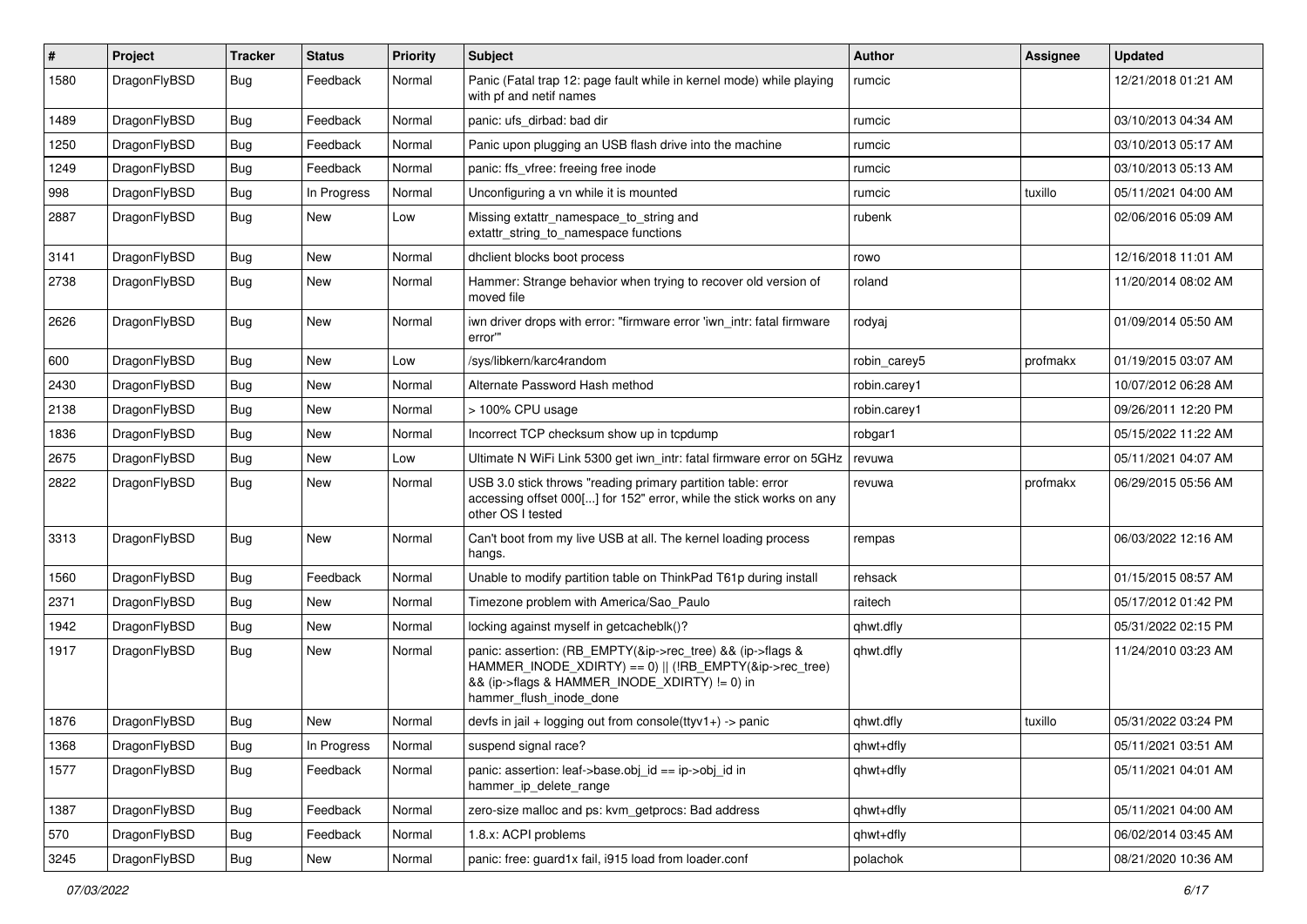| ∦    | Project      | <b>Tracker</b> | <b>Status</b> | <b>Priority</b> | <b>Subject</b>                                                                                                                                                                                    | Author       | Assignee | <b>Updated</b>      |
|------|--------------|----------------|---------------|-----------------|---------------------------------------------------------------------------------------------------------------------------------------------------------------------------------------------------|--------------|----------|---------------------|
| 1580 | DragonFlyBSD | Bug            | Feedback      | Normal          | Panic (Fatal trap 12: page fault while in kernel mode) while playing<br>with pf and netif names                                                                                                   | rumcic       |          | 12/21/2018 01:21 AM |
| 1489 | DragonFlyBSD | <b>Bug</b>     | Feedback      | Normal          | panic: ufs dirbad: bad dir                                                                                                                                                                        | rumcic       |          | 03/10/2013 04:34 AM |
| 1250 | DragonFlyBSD | Bug            | Feedback      | Normal          | Panic upon plugging an USB flash drive into the machine                                                                                                                                           | rumcic       |          | 03/10/2013 05:17 AM |
| 1249 | DragonFlyBSD | <b>Bug</b>     | Feedback      | Normal          | panic: ffs_vfree: freeing free inode                                                                                                                                                              | rumcic       |          | 03/10/2013 05:13 AM |
| 998  | DragonFlyBSD | <b>Bug</b>     | In Progress   | Normal          | Unconfiguring a vn while it is mounted                                                                                                                                                            | rumcic       | tuxillo  | 05/11/2021 04:00 AM |
| 2887 | DragonFlyBSD | Bug            | <b>New</b>    | Low             | Missing extattr_namespace_to_string and<br>extattr_string_to_namespace functions                                                                                                                  | rubenk       |          | 02/06/2016 05:09 AM |
| 3141 | DragonFlyBSD | <b>Bug</b>     | <b>New</b>    | Normal          | dhclient blocks boot process                                                                                                                                                                      | rowo         |          | 12/16/2018 11:01 AM |
| 2738 | DragonFlyBSD | <b>Bug</b>     | New           | Normal          | Hammer: Strange behavior when trying to recover old version of<br>moved file                                                                                                                      | roland       |          | 11/20/2014 08:02 AM |
| 2626 | DragonFlyBSD | Bug            | New           | Normal          | iwn driver drops with error: "firmware error 'iwn_intr: fatal firmware<br>error""                                                                                                                 | rodyaj       |          | 01/09/2014 05:50 AM |
| 600  | DragonFlyBSD | <b>Bug</b>     | <b>New</b>    | Low             | /sys/libkern/karc4random                                                                                                                                                                          | robin carey5 | profmakx | 01/19/2015 03:07 AM |
| 2430 | DragonFlyBSD | Bug            | New           | Normal          | Alternate Password Hash method                                                                                                                                                                    | robin.carey1 |          | 10/07/2012 06:28 AM |
| 2138 | DragonFlyBSD | Bug            | New           | Normal          | > 100% CPU usage                                                                                                                                                                                  | robin.carey1 |          | 09/26/2011 12:20 PM |
| 1836 | DragonFlyBSD | <b>Bug</b>     | New           | Normal          | Incorrect TCP checksum show up in tcpdump                                                                                                                                                         | robgar1      |          | 05/15/2022 11:22 AM |
| 2675 | DragonFlyBSD | <b>Bug</b>     | <b>New</b>    | Low             | Ultimate N WiFi Link 5300 get iwn intr: fatal firmware error on 5GHz                                                                                                                              | revuwa       |          | 05/11/2021 04:07 AM |
| 2822 | DragonFlyBSD | <b>Bug</b>     | New           | Normal          | USB 3.0 stick throws "reading primary partition table: error<br>accessing offset 000[] for 152" error, while the stick works on any<br>other OS I tested                                          | revuwa       | profmakx | 06/29/2015 05:56 AM |
| 3313 | DragonFlyBSD | Bug            | <b>New</b>    | Normal          | Can't boot from my live USB at all. The kernel loading process<br>hangs.                                                                                                                          | rempas       |          | 06/03/2022 12:16 AM |
| 1560 | DragonFlyBSD | <b>Bug</b>     | Feedback      | Normal          | Unable to modify partition table on ThinkPad T61p during install                                                                                                                                  | rehsack      |          | 01/15/2015 08:57 AM |
| 2371 | DragonFlyBSD | <b>Bug</b>     | New           | Normal          | Timezone problem with America/Sao Paulo                                                                                                                                                           | raitech      |          | 05/17/2012 01:42 PM |
| 1942 | DragonFlyBSD | Bug            | <b>New</b>    | Normal          | locking against myself in getcacheblk()?                                                                                                                                                          | qhwt.dfly    |          | 05/31/2022 02:15 PM |
| 1917 | DragonFlyBSD | Bug            | New           | Normal          | panic: assertion: (RB_EMPTY(&ip->rec_tree) && (ip->flags &<br>HAMMER_INODE_XDIRTY) == 0)    (!RB_EMPTY(&ip->rec_tree)<br>&& (ip->flags & HAMMER_INODE_XDIRTY) != 0) in<br>hammer_flush_inode_done | qhwt.dfly    |          | 11/24/2010 03:23 AM |
| 1876 | DragonFlyBSD | <b>Bug</b>     | New           | Normal          | devfs in jail + logging out from console(ttyv1+) -> panic                                                                                                                                         | qhwt.dfly    | tuxillo  | 05/31/2022 03:24 PM |
| 1368 | DragonFlyBSD | Bug            | In Progress   | Normal          | suspend signal race?                                                                                                                                                                              | qhwt+dfly    |          | 05/11/2021 03:51 AM |
| 1577 | DragonFlyBSD | <b>Bug</b>     | Feedback      | Normal          | panic: assertion: leaf->base.obj_id == ip->obj_id in<br>hammer_ip_delete_range                                                                                                                    | qhwt+dfly    |          | 05/11/2021 04:01 AM |
| 1387 | DragonFlyBSD | Bug            | Feedback      | Normal          | zero-size malloc and ps: kvm_getprocs: Bad address                                                                                                                                                | qhwt+dfly    |          | 05/11/2021 04:00 AM |
| 570  | DragonFlyBSD | Bug            | Feedback      | Normal          | 1.8.x: ACPI problems                                                                                                                                                                              | qhwt+dfly    |          | 06/02/2014 03:45 AM |
| 3245 | DragonFlyBSD | Bug            | New           | Normal          | panic: free: guard1x fail, i915 load from loader.conf                                                                                                                                             | polachok     |          | 08/21/2020 10:36 AM |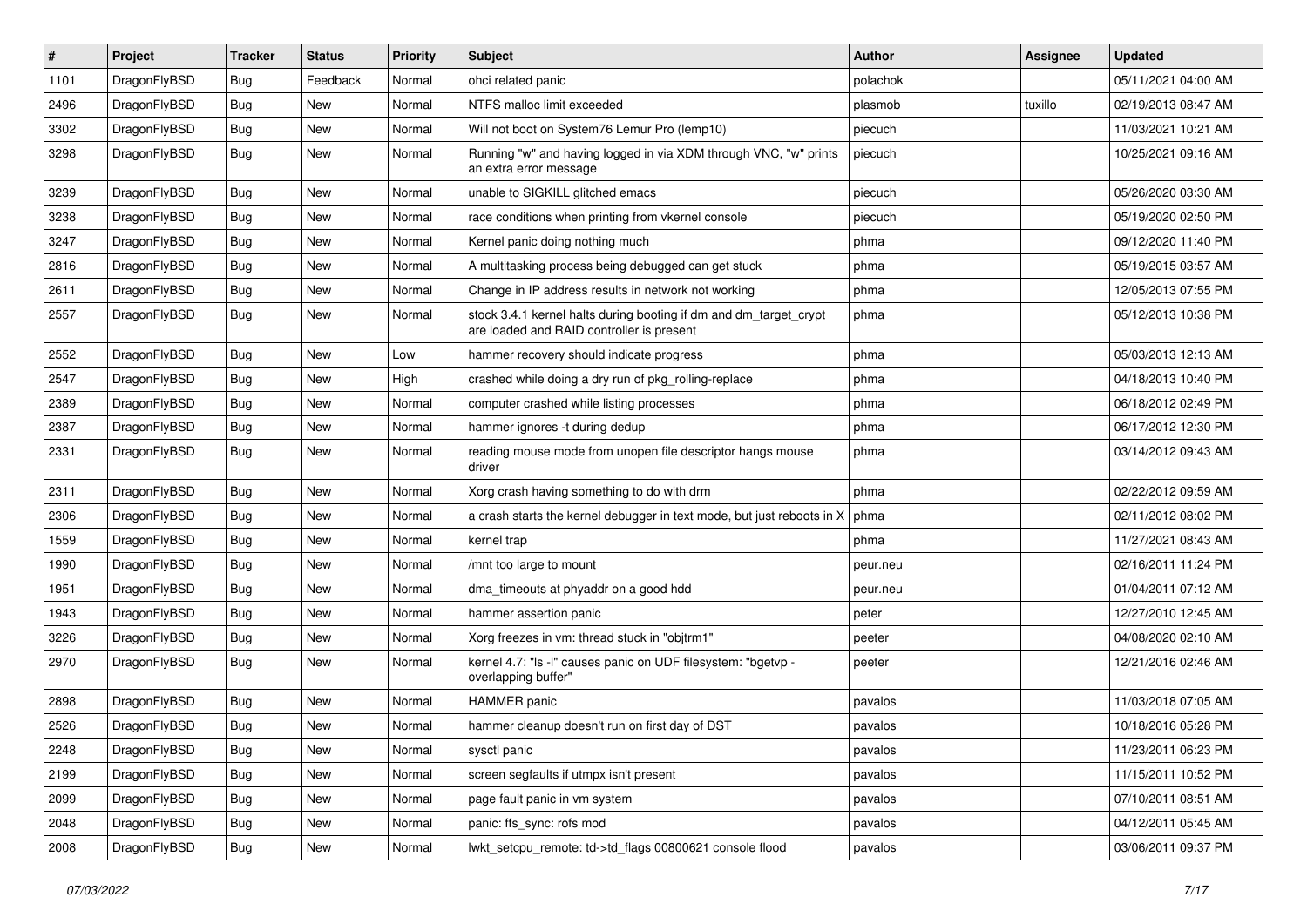| #    | Project      | <b>Tracker</b> | <b>Status</b> | <b>Priority</b> | Subject                                                                                                        | Author   | Assignee | <b>Updated</b>      |
|------|--------------|----------------|---------------|-----------------|----------------------------------------------------------------------------------------------------------------|----------|----------|---------------------|
| 1101 | DragonFlyBSD | <b>Bug</b>     | Feedback      | Normal          | ohci related panic                                                                                             | polachok |          | 05/11/2021 04:00 AM |
| 2496 | DragonFlyBSD | <b>Bug</b>     | <b>New</b>    | Normal          | NTFS malloc limit exceeded                                                                                     | plasmob  | tuxillo  | 02/19/2013 08:47 AM |
| 3302 | DragonFlyBSD | <b>Bug</b>     | <b>New</b>    | Normal          | Will not boot on System76 Lemur Pro (lemp10)                                                                   | piecuch  |          | 11/03/2021 10:21 AM |
| 3298 | DragonFlyBSD | <b>Bug</b>     | New           | Normal          | Running "w" and having logged in via XDM through VNC, "w" prints<br>an extra error message                     | piecuch  |          | 10/25/2021 09:16 AM |
| 3239 | DragonFlyBSD | <b>Bug</b>     | New           | Normal          | unable to SIGKILL glitched emacs                                                                               | piecuch  |          | 05/26/2020 03:30 AM |
| 3238 | DragonFlyBSD | Bug            | <b>New</b>    | Normal          | race conditions when printing from vkernel console                                                             | piecuch  |          | 05/19/2020 02:50 PM |
| 3247 | DragonFlyBSD | <b>Bug</b>     | New           | Normal          | Kernel panic doing nothing much                                                                                | phma     |          | 09/12/2020 11:40 PM |
| 2816 | DragonFlyBSD | Bug            | <b>New</b>    | Normal          | A multitasking process being debugged can get stuck                                                            | phma     |          | 05/19/2015 03:57 AM |
| 2611 | DragonFlyBSD | <b>Bug</b>     | <b>New</b>    | Normal          | Change in IP address results in network not working                                                            | phma     |          | 12/05/2013 07:55 PM |
| 2557 | DragonFlyBSD | <b>Bug</b>     | New           | Normal          | stock 3.4.1 kernel halts during booting if dm and dm_target_crypt<br>are loaded and RAID controller is present | phma     |          | 05/12/2013 10:38 PM |
| 2552 | DragonFlyBSD | <b>Bug</b>     | <b>New</b>    | Low             | hammer recovery should indicate progress                                                                       | phma     |          | 05/03/2013 12:13 AM |
| 2547 | DragonFlyBSD | <b>Bug</b>     | <b>New</b>    | High            | crashed while doing a dry run of pkg rolling-replace                                                           | phma     |          | 04/18/2013 10:40 PM |
| 2389 | DragonFlyBSD | Bug            | <b>New</b>    | Normal          | computer crashed while listing processes                                                                       | phma     |          | 06/18/2012 02:49 PM |
| 2387 | DragonFlyBSD | <b>Bug</b>     | New           | Normal          | hammer ignores -t during dedup                                                                                 | phma     |          | 06/17/2012 12:30 PM |
| 2331 | DragonFlyBSD | <b>Bug</b>     | <b>New</b>    | Normal          | reading mouse mode from unopen file descriptor hangs mouse<br>driver                                           | phma     |          | 03/14/2012 09:43 AM |
| 2311 | DragonFlyBSD | <b>Bug</b>     | <b>New</b>    | Normal          | Xorg crash having something to do with drm                                                                     | phma     |          | 02/22/2012 09:59 AM |
| 2306 | DragonFlyBSD | Bug            | <b>New</b>    | Normal          | a crash starts the kernel debugger in text mode, but just reboots in X                                         | phma     |          | 02/11/2012 08:02 PM |
| 1559 | DragonFlyBSD | <b>Bug</b>     | <b>New</b>    | Normal          | kernel trap                                                                                                    | phma     |          | 11/27/2021 08:43 AM |
| 1990 | DragonFlyBSD | Bug            | <b>New</b>    | Normal          | /mnt too large to mount                                                                                        | peur.neu |          | 02/16/2011 11:24 PM |
| 1951 | DragonFlyBSD | <b>Bug</b>     | <b>New</b>    | Normal          | dma timeouts at phyaddr on a good hdd                                                                          | peur.neu |          | 01/04/2011 07:12 AM |
| 1943 | DragonFlyBSD | <b>Bug</b>     | <b>New</b>    | Normal          | hammer assertion panic                                                                                         | peter    |          | 12/27/2010 12:45 AM |
| 3226 | DragonFlyBSD | Bug            | <b>New</b>    | Normal          | Xorg freezes in vm: thread stuck in "objtrm1"                                                                  | peeter   |          | 04/08/2020 02:10 AM |
| 2970 | DragonFlyBSD | Bug            | <b>New</b>    | Normal          | kernel 4.7: "Is -I" causes panic on UDF filesystem: "bgetvp -<br>overlapping buffer"                           | peeter   |          | 12/21/2016 02:46 AM |
| 2898 | DragonFlyBSD | Bug            | <b>New</b>    | Normal          | <b>HAMMER</b> panic                                                                                            | pavalos  |          | 11/03/2018 07:05 AM |
| 2526 | DragonFlyBSD | <b>Bug</b>     | New           | Normal          | hammer cleanup doesn't run on first day of DST                                                                 | pavalos  |          | 10/18/2016 05:28 PM |
| 2248 | DragonFlyBSD | <b>Bug</b>     | New           | Normal          | sysctl panic                                                                                                   | pavalos  |          | 11/23/2011 06:23 PM |
| 2199 | DragonFlyBSD | Bug            | New           | Normal          | screen segfaults if utmpx isn't present                                                                        | pavalos  |          | 11/15/2011 10:52 PM |
| 2099 | DragonFlyBSD | <b>Bug</b>     | New           | Normal          | page fault panic in vm system                                                                                  | pavalos  |          | 07/10/2011 08:51 AM |
| 2048 | DragonFlyBSD | <b>Bug</b>     | New           | Normal          | panic: ffs_sync: rofs mod                                                                                      | pavalos  |          | 04/12/2011 05:45 AM |
| 2008 | DragonFlyBSD | <b>Bug</b>     | New           | Normal          | lwkt_setcpu_remote: td->td_flags 00800621 console flood                                                        | pavalos  |          | 03/06/2011 09:37 PM |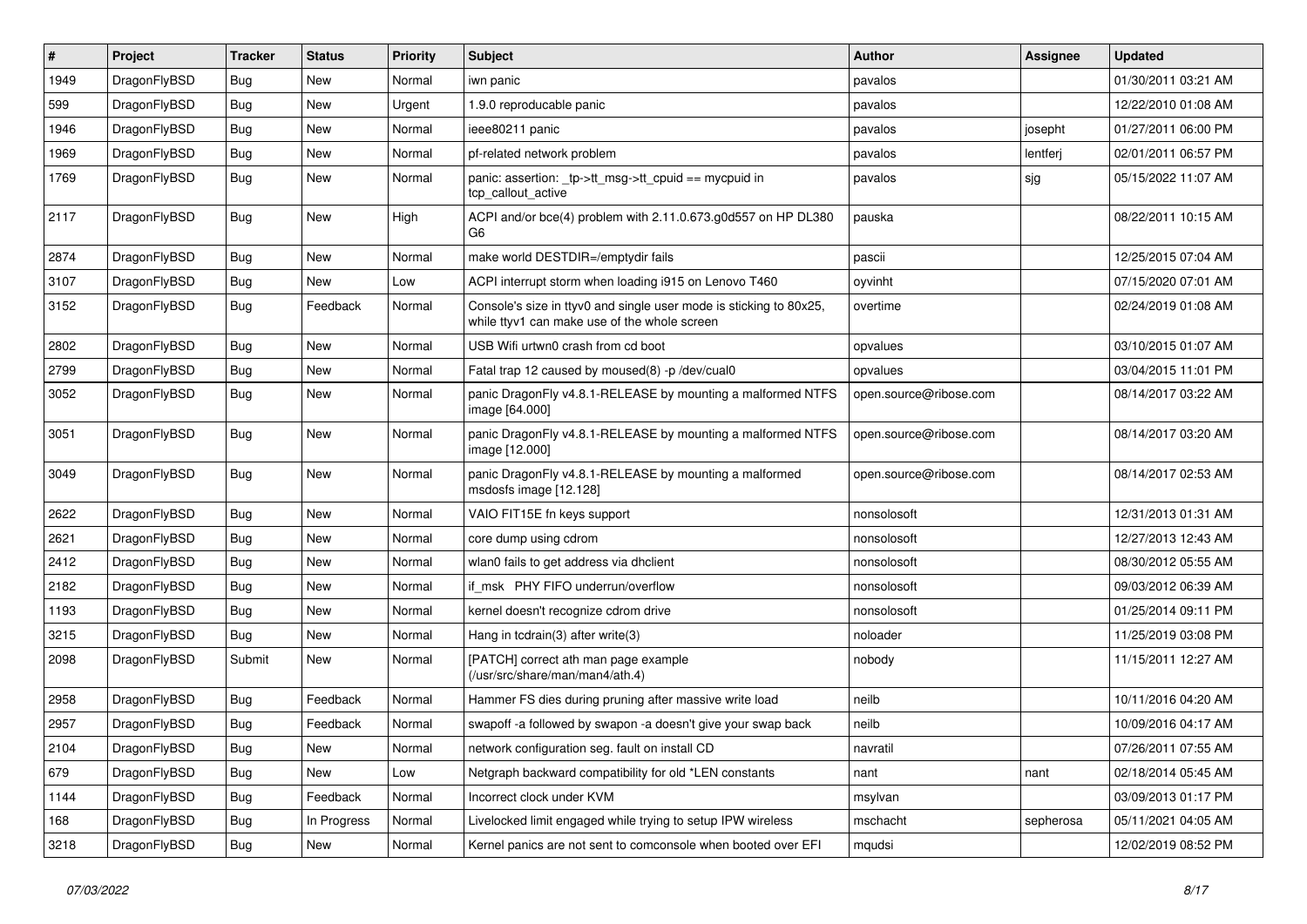| $\#$ | Project      | <b>Tracker</b> | <b>Status</b> | <b>Priority</b> | Subject                                                                                                            | <b>Author</b>          | Assignee  | <b>Updated</b>      |
|------|--------------|----------------|---------------|-----------------|--------------------------------------------------------------------------------------------------------------------|------------------------|-----------|---------------------|
| 1949 | DragonFlyBSD | <b>Bug</b>     | New           | Normal          | iwn panic                                                                                                          | pavalos                |           | 01/30/2011 03:21 AM |
| 599  | DragonFlyBSD | <b>Bug</b>     | <b>New</b>    | Urgent          | 1.9.0 reproducable panic                                                                                           | pavalos                |           | 12/22/2010 01:08 AM |
| 1946 | DragonFlyBSD | Bug            | New           | Normal          | ieee80211 panic                                                                                                    | pavalos                | josepht   | 01/27/2011 06:00 PM |
| 1969 | DragonFlyBSD | <b>Bug</b>     | New           | Normal          | pf-related network problem                                                                                         | pavalos                | lentferj  | 02/01/2011 06:57 PM |
| 1769 | DragonFlyBSD | Bug            | New           | Normal          | panic: assertion: _tp->tt_msg->tt_cpuid == mycpuid in<br>tcp callout active                                        | pavalos                | sjg       | 05/15/2022 11:07 AM |
| 2117 | DragonFlyBSD | Bug            | <b>New</b>    | High            | ACPI and/or bce(4) problem with 2.11.0.673.g0d557 on HP DL380<br>G <sub>6</sub>                                    | pauska                 |           | 08/22/2011 10:15 AM |
| 2874 | DragonFlyBSD | Bug            | <b>New</b>    | Normal          | make world DESTDIR=/emptydir fails                                                                                 | pascii                 |           | 12/25/2015 07:04 AM |
| 3107 | DragonFlyBSD | <b>Bug</b>     | New           | Low             | ACPI interrupt storm when loading i915 on Lenovo T460                                                              | oyvinht                |           | 07/15/2020 07:01 AM |
| 3152 | DragonFlyBSD | Bug            | Feedback      | Normal          | Console's size in ttyv0 and single user mode is sticking to 80x25,<br>while ttyv1 can make use of the whole screen | overtime               |           | 02/24/2019 01:08 AM |
| 2802 | DragonFlyBSD | Bug            | <b>New</b>    | Normal          | USB Wifi urtwn0 crash from cd boot                                                                                 | opvalues               |           | 03/10/2015 01:07 AM |
| 2799 | DragonFlyBSD | <b>Bug</b>     | New           | Normal          | Fatal trap 12 caused by moused(8) -p/dev/cual0                                                                     | opvalues               |           | 03/04/2015 11:01 PM |
| 3052 | DragonFlyBSD | Bug            | New           | Normal          | panic DragonFly v4.8.1-RELEASE by mounting a malformed NTFS<br>image [64.000]                                      | open.source@ribose.com |           | 08/14/2017 03:22 AM |
| 3051 | DragonFlyBSD | Bug            | New           | Normal          | panic DragonFly v4.8.1-RELEASE by mounting a malformed NTFS<br>image [12.000]                                      | open.source@ribose.com |           | 08/14/2017 03:20 AM |
| 3049 | DragonFlyBSD | Bug            | New           | Normal          | panic DragonFly v4.8.1-RELEASE by mounting a malformed<br>msdosfs image [12.128]                                   | open.source@ribose.com |           | 08/14/2017 02:53 AM |
| 2622 | DragonFlyBSD | Bug            | <b>New</b>    | Normal          | VAIO FIT15E fn keys support                                                                                        | nonsolosoft            |           | 12/31/2013 01:31 AM |
| 2621 | DragonFlyBSD | Bug            | New           | Normal          | core dump using cdrom                                                                                              | nonsolosoft            |           | 12/27/2013 12:43 AM |
| 2412 | DragonFlyBSD | Bug            | <b>New</b>    | Normal          | wlan0 fails to get address via dhclient                                                                            | nonsolosoft            |           | 08/30/2012 05:55 AM |
| 2182 | DragonFlyBSD | Bug            | New           | Normal          | if msk PHY FIFO underrun/overflow                                                                                  | nonsolosoft            |           | 09/03/2012 06:39 AM |
| 1193 | DragonFlyBSD | <b>Bug</b>     | New           | Normal          | kernel doesn't recognize cdrom drive                                                                               | nonsolosoft            |           | 01/25/2014 09:11 PM |
| 3215 | DragonFlyBSD | <b>Bug</b>     | New           | Normal          | Hang in tcdrain(3) after write(3)                                                                                  | noloader               |           | 11/25/2019 03:08 PM |
| 2098 | DragonFlyBSD | Submit         | New           | Normal          | [PATCH] correct ath man page example<br>(/usr/src/share/man/man4/ath.4)                                            | nobody                 |           | 11/15/2011 12:27 AM |
| 2958 | DragonFlyBSD | Bug            | Feedback      | Normal          | Hammer FS dies during pruning after massive write load                                                             | neilb                  |           | 10/11/2016 04:20 AM |
| 2957 | DragonFlyBSD | <b>Bug</b>     | Feedback      | Normal          | swapoff -a followed by swapon -a doesn't give your swap back                                                       | neilb                  |           | 10/09/2016 04:17 AM |
| 2104 | DragonFlyBSD | <b>Bug</b>     | New           | Normal          | network configuration seg. fault on install CD                                                                     | navratil               |           | 07/26/2011 07:55 AM |
| 679  | DragonFlyBSD | <b>Bug</b>     | New           | Low             | Netgraph backward compatibility for old *LEN constants                                                             | nant                   | nant      | 02/18/2014 05:45 AM |
| 1144 | DragonFlyBSD | <b>Bug</b>     | Feedback      | Normal          | Incorrect clock under KVM                                                                                          | msylvan                |           | 03/09/2013 01:17 PM |
| 168  | DragonFlyBSD | Bug            | In Progress   | Normal          | Livelocked limit engaged while trying to setup IPW wireless                                                        | mschacht               | sepherosa | 05/11/2021 04:05 AM |
| 3218 | DragonFlyBSD | <b>Bug</b>     | New           | Normal          | Kernel panics are not sent to comconsole when booted over EFI                                                      | mqudsi                 |           | 12/02/2019 08:52 PM |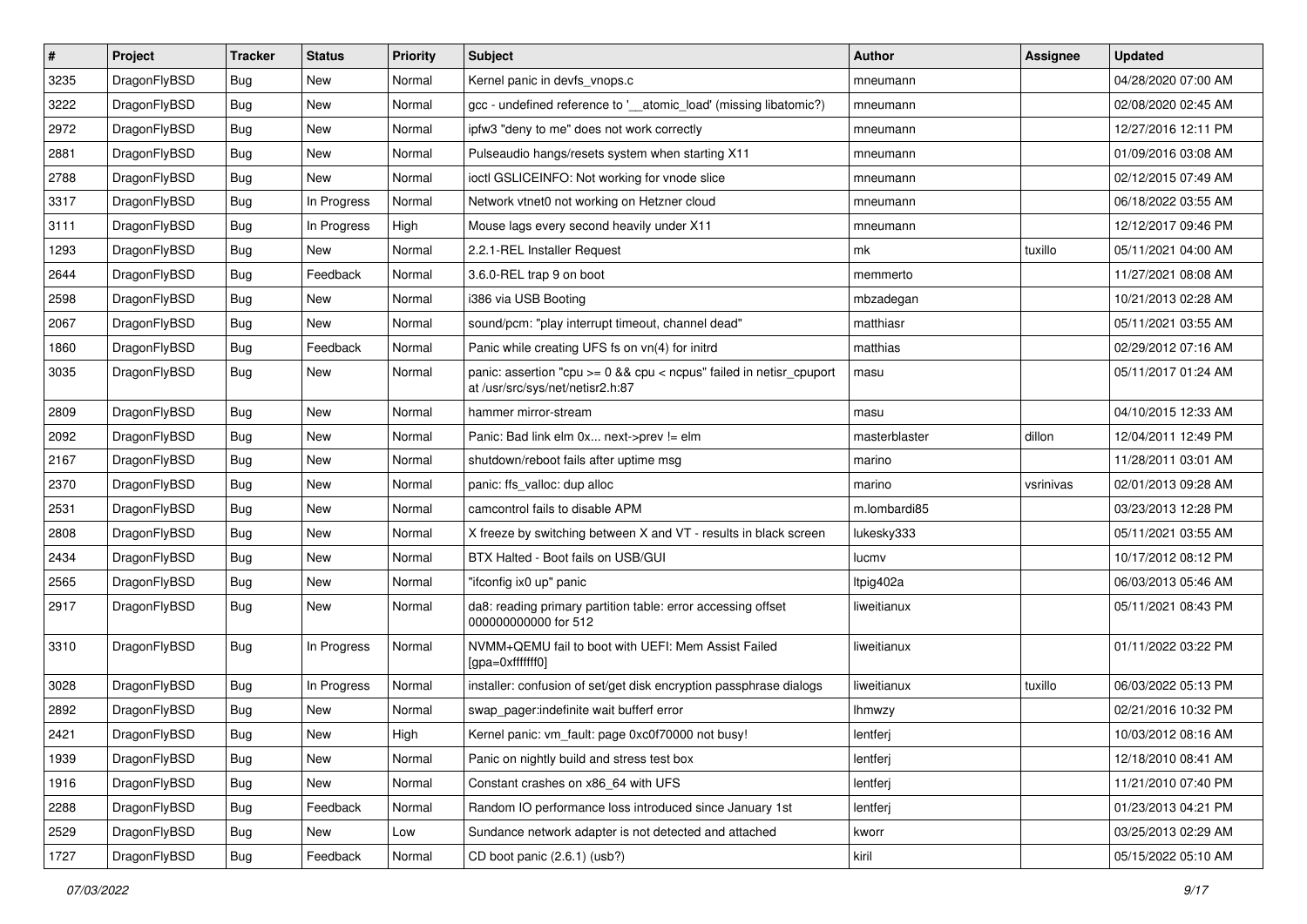| $\sharp$ | Project      | <b>Tracker</b> | <b>Status</b> | <b>Priority</b> | Subject                                                                                                 | <b>Author</b> | Assignee  | <b>Updated</b>      |
|----------|--------------|----------------|---------------|-----------------|---------------------------------------------------------------------------------------------------------|---------------|-----------|---------------------|
| 3235     | DragonFlyBSD | Bug            | New           | Normal          | Kernel panic in devfs vnops.c                                                                           | mneumann      |           | 04/28/2020 07:00 AM |
| 3222     | DragonFlyBSD | Bug            | <b>New</b>    | Normal          | gcc - undefined reference to '__atomic_load' (missing libatomic?)                                       | mneumann      |           | 02/08/2020 02:45 AM |
| 2972     | DragonFlyBSD | Bug            | <b>New</b>    | Normal          | ipfw3 "deny to me" does not work correctly                                                              | mneumann      |           | 12/27/2016 12:11 PM |
| 2881     | DragonFlyBSD | Bug            | New           | Normal          | Pulseaudio hangs/resets system when starting X11                                                        | mneumann      |           | 01/09/2016 03:08 AM |
| 2788     | DragonFlyBSD | Bug            | <b>New</b>    | Normal          | ioctl GSLICEINFO: Not working for vnode slice                                                           | mneumann      |           | 02/12/2015 07:49 AM |
| 3317     | DragonFlyBSD | Bug            | In Progress   | Normal          | Network vtnet0 not working on Hetzner cloud                                                             | mneumann      |           | 06/18/2022 03:55 AM |
| 3111     | DragonFlyBSD | Bug            | In Progress   | High            | Mouse lags every second heavily under X11                                                               | mneumann      |           | 12/12/2017 09:46 PM |
| 1293     | DragonFlyBSD | Bug            | New           | Normal          | 2.2.1-REL Installer Request                                                                             | mk            | tuxillo   | 05/11/2021 04:00 AM |
| 2644     | DragonFlyBSD | Bug            | Feedback      | Normal          | 3.6.0-REL trap 9 on boot                                                                                | memmerto      |           | 11/27/2021 08:08 AM |
| 2598     | DragonFlyBSD | Bug            | New           | Normal          | i386 via USB Booting                                                                                    | mbzadegan     |           | 10/21/2013 02:28 AM |
| 2067     | DragonFlyBSD | Bug            | New           | Normal          | sound/pcm: "play interrupt timeout, channel dead"                                                       | matthiasr     |           | 05/11/2021 03:55 AM |
| 1860     | DragonFlyBSD | <b>Bug</b>     | Feedback      | Normal          | Panic while creating UFS fs on vn(4) for initrd                                                         | matthias      |           | 02/29/2012 07:16 AM |
| 3035     | DragonFlyBSD | Bug            | New           | Normal          | panic: assertion "cpu >= 0 && cpu < ncpus" failed in netisr_cpuport<br>at /usr/src/sys/net/netisr2.h:87 | masu          |           | 05/11/2017 01:24 AM |
| 2809     | DragonFlyBSD | Bug            | <b>New</b>    | Normal          | hammer mirror-stream                                                                                    | masu          |           | 04/10/2015 12:33 AM |
| 2092     | DragonFlyBSD | Bug            | New           | Normal          | Panic: Bad link elm 0x next->prev != elm                                                                | masterblaster | dillon    | 12/04/2011 12:49 PM |
| 2167     | DragonFlyBSD | Bug            | New           | Normal          | shutdown/reboot fails after uptime msg                                                                  | marino        |           | 11/28/2011 03:01 AM |
| 2370     | DragonFlyBSD | Bug            | New           | Normal          | panic: ffs_valloc: dup alloc                                                                            | marino        | vsrinivas | 02/01/2013 09:28 AM |
| 2531     | DragonFlyBSD | <b>Bug</b>     | New           | Normal          | camcontrol fails to disable APM                                                                         | m.lombardi85  |           | 03/23/2013 12:28 PM |
| 2808     | DragonFlyBSD | <b>Bug</b>     | <b>New</b>    | Normal          | X freeze by switching between X and VT - results in black screen                                        | lukesky333    |           | 05/11/2021 03:55 AM |
| 2434     | DragonFlyBSD | <b>Bug</b>     | New           | Normal          | BTX Halted - Boot fails on USB/GUI                                                                      | lucmv         |           | 10/17/2012 08:12 PM |
| 2565     | DragonFlyBSD | <b>Bug</b>     | New           | Normal          | "ifconfig ix0 up" panic                                                                                 | Itpig402a     |           | 06/03/2013 05:46 AM |
| 2917     | DragonFlyBSD | <b>Bug</b>     | New           | Normal          | da8: reading primary partition table: error accessing offset<br>000000000000 for 512                    | liweitianux   |           | 05/11/2021 08:43 PM |
| 3310     | DragonFlyBSD | <b>Bug</b>     | In Progress   | Normal          | NVMM+QEMU fail to boot with UEFI: Mem Assist Failed<br>[gpa=0xfffffff0]                                 | liweitianux   |           | 01/11/2022 03:22 PM |
| 3028     | DragonFlyBSD | <b>Bug</b>     | In Progress   | Normal          | installer: confusion of set/get disk encryption passphrase dialogs                                      | liweitianux   | tuxillo   | 06/03/2022 05:13 PM |
| 2892     | DragonFlyBSD | <b>Bug</b>     | New           | Normal          | swap_pager:indefinite wait bufferf error                                                                | <b>Ihmwzy</b> |           | 02/21/2016 10:32 PM |
| 2421     | DragonFlyBSD | Bug            | New           | High            | Kernel panic: vm_fault: page 0xc0f70000 not busy!                                                       | lentferj      |           | 10/03/2012 08:16 AM |
| 1939     | DragonFlyBSD | Bug            | New           | Normal          | Panic on nightly build and stress test box                                                              | lentferj      |           | 12/18/2010 08:41 AM |
| 1916     | DragonFlyBSD | <b>Bug</b>     | New           | Normal          | Constant crashes on x86_64 with UFS                                                                     | lentferj      |           | 11/21/2010 07:40 PM |
| 2288     | DragonFlyBSD | <b>Bug</b>     | Feedback      | Normal          | Random IO performance loss introduced since January 1st                                                 | lentferj      |           | 01/23/2013 04:21 PM |
| 2529     | DragonFlyBSD | Bug            | New           | Low             | Sundance network adapter is not detected and attached                                                   | kworr         |           | 03/25/2013 02:29 AM |
| 1727     | DragonFlyBSD | <b>Bug</b>     | Feedback      | Normal          | CD boot panic (2.6.1) (usb?)                                                                            | kiril         |           | 05/15/2022 05:10 AM |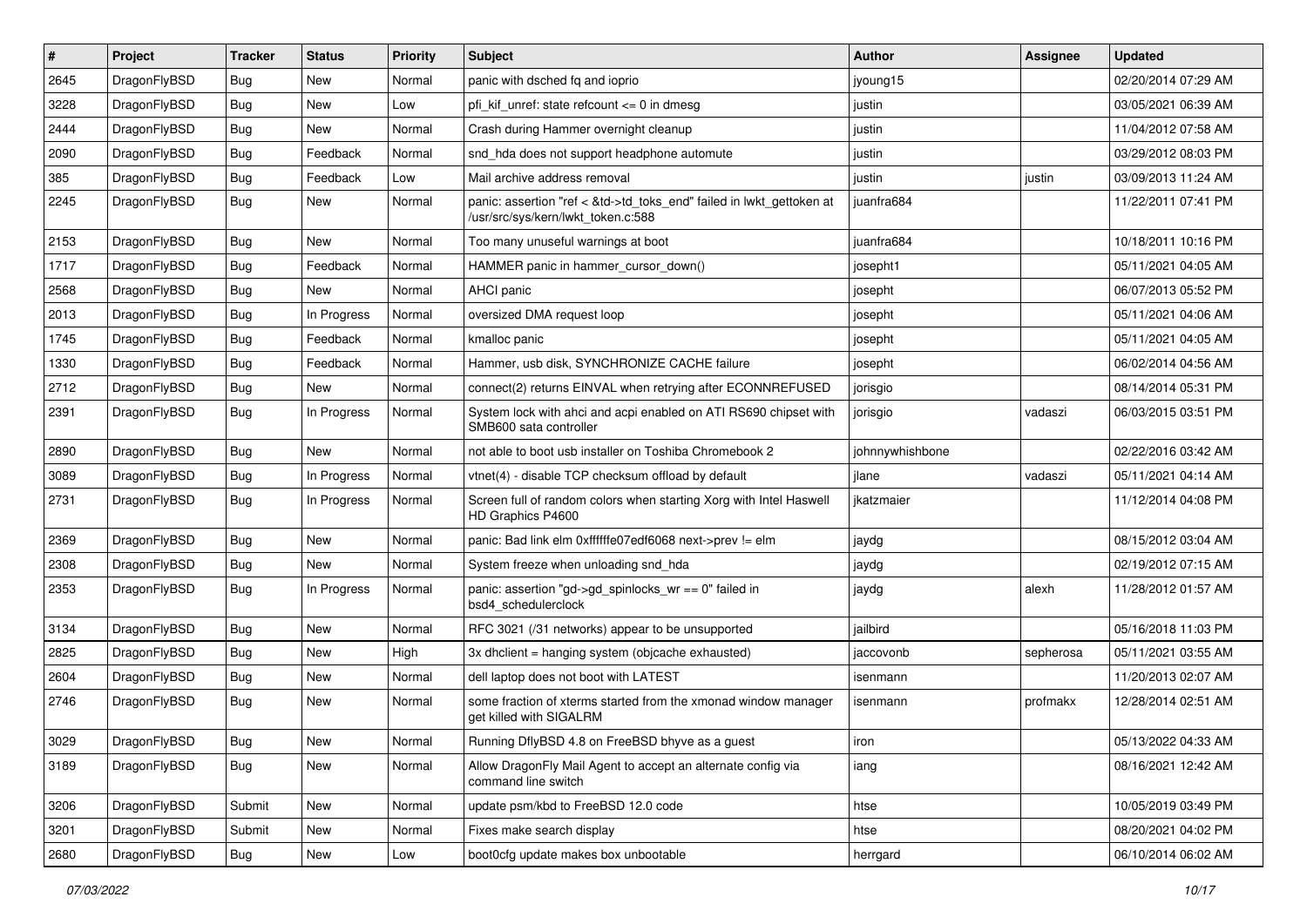| #    | Project      | <b>Tracker</b> | <b>Status</b> | <b>Priority</b> | Subject                                                                                                    | Author          | Assignee  | <b>Updated</b>      |
|------|--------------|----------------|---------------|-----------------|------------------------------------------------------------------------------------------------------------|-----------------|-----------|---------------------|
| 2645 | DragonFlyBSD | Bug            | <b>New</b>    | Normal          | panic with dsched fq and ioprio                                                                            | jyoung15        |           | 02/20/2014 07:29 AM |
| 3228 | DragonFlyBSD | Bug            | <b>New</b>    | Low             | pfi kif unref: state refcount $\leq$ 0 in dmesg                                                            | justin          |           | 03/05/2021 06:39 AM |
| 2444 | DragonFlyBSD | <b>Bug</b>     | New           | Normal          | Crash during Hammer overnight cleanup                                                                      | justin          |           | 11/04/2012 07:58 AM |
| 2090 | DragonFlyBSD | Bug            | Feedback      | Normal          | snd_hda does not support headphone automute                                                                | justin          |           | 03/29/2012 08:03 PM |
| 385  | DragonFlyBSD | <b>Bug</b>     | Feedback      | Low             | Mail archive address removal                                                                               | justin          | justin    | 03/09/2013 11:24 AM |
| 2245 | DragonFlyBSD | Bug            | New           | Normal          | panic: assertion "ref < &td->td_toks_end" failed in lwkt_gettoken at<br>/usr/src/sys/kern/lwkt_token.c:588 | iuanfra684      |           | 11/22/2011 07:41 PM |
| 2153 | DragonFlyBSD | <b>Bug</b>     | <b>New</b>    | Normal          | Too many unuseful warnings at boot                                                                         | juanfra684      |           | 10/18/2011 10:16 PM |
| 1717 | DragonFlyBSD | Bug            | Feedback      | Normal          | HAMMER panic in hammer_cursor_down()                                                                       | josepht1        |           | 05/11/2021 04:05 AM |
| 2568 | DragonFlyBSD | <b>Bug</b>     | New           | Normal          | AHCI panic                                                                                                 | josepht         |           | 06/07/2013 05:52 PM |
| 2013 | DragonFlyBSD | Bug            | In Progress   | Normal          | oversized DMA request loop                                                                                 | josepht         |           | 05/11/2021 04:06 AM |
| 1745 | DragonFlyBSD | Bug            | Feedback      | Normal          | kmalloc panic                                                                                              | josepht         |           | 05/11/2021 04:05 AM |
| 1330 | DragonFlyBSD | <b>Bug</b>     | Feedback      | Normal          | Hammer, usb disk, SYNCHRONIZE CACHE failure                                                                | josepht         |           | 06/02/2014 04:56 AM |
| 2712 | DragonFlyBSD | <b>Bug</b>     | New           | Normal          | connect(2) returns EINVAL when retrying after ECONNREFUSED                                                 | jorisgio        |           | 08/14/2014 05:31 PM |
| 2391 | DragonFlyBSD | <b>Bug</b>     | In Progress   | Normal          | System lock with ahci and acpi enabled on ATI RS690 chipset with<br>SMB600 sata controller                 | jorisgio        | vadaszi   | 06/03/2015 03:51 PM |
| 2890 | DragonFlyBSD | Bug            | New           | Normal          | not able to boot usb installer on Toshiba Chromebook 2                                                     | johnnywhishbone |           | 02/22/2016 03:42 AM |
| 3089 | DragonFlyBSD | Bug            | In Progress   | Normal          | vtnet(4) - disable TCP checksum offload by default                                                         | ilane           | vadaszi   | 05/11/2021 04:14 AM |
| 2731 | DragonFlyBSD | Bug            | In Progress   | Normal          | Screen full of random colors when starting Xorg with Intel Haswell<br>HD Graphics P4600                    | jkatzmaier      |           | 11/12/2014 04:08 PM |
| 2369 | DragonFlyBSD | <b>Bug</b>     | New           | Normal          | panic: Bad link elm 0xffffffe07edf6068 next->prev != elm                                                   | jaydg           |           | 08/15/2012 03:04 AM |
| 2308 | DragonFlyBSD | Bug            | <b>New</b>    | Normal          | System freeze when unloading snd_hda                                                                       | jaydg           |           | 02/19/2012 07:15 AM |
| 2353 | DragonFlyBSD | Bug            | In Progress   | Normal          | panic: assertion "gd->gd_spinlocks_wr == 0" failed in<br>bsd4_schedulerclock                               | jaydg           | alexh     | 11/28/2012 01:57 AM |
| 3134 | DragonFlyBSD | Bug            | <b>New</b>    | Normal          | RFC 3021 (/31 networks) appear to be unsupported                                                           | jailbird        |           | 05/16/2018 11:03 PM |
| 2825 | DragonFlyBSD | Bug            | <b>New</b>    | High            | 3x dhclient = hanging system (objcache exhausted)                                                          | jaccovonb       | sepherosa | 05/11/2021 03:55 AM |
| 2604 | DragonFlyBSD | <b>Bug</b>     | <b>New</b>    | Normal          | dell laptop does not boot with LATEST                                                                      | isenmann        |           | 11/20/2013 02:07 AM |
| 2746 | DragonFlyBSD | Bug            | <b>New</b>    | Normal          | some fraction of xterms started from the xmonad window manager<br>get killed with SIGALRM                  | isenmann        | profmakx  | 12/28/2014 02:51 AM |
| 3029 | DragonFlyBSD | Bug            | New           | Normal          | Running DflyBSD 4.8 on FreeBSD bhyve as a guest                                                            | ıron            |           | 05/13/2022 04:33 AM |
| 3189 | DragonFlyBSD | Bug            | New           | Normal          | Allow DragonFly Mail Agent to accept an alternate config via<br>command line switch                        | iang            |           | 08/16/2021 12:42 AM |
| 3206 | DragonFlyBSD | Submit         | New           | Normal          | update psm/kbd to FreeBSD 12.0 code                                                                        | htse            |           | 10/05/2019 03:49 PM |
| 3201 | DragonFlyBSD | Submit         | New           | Normal          | Fixes make search display                                                                                  | htse            |           | 08/20/2021 04:02 PM |
| 2680 | DragonFlyBSD | <b>Bug</b>     | New           | Low             | boot0cfg update makes box unbootable                                                                       | herrgard        |           | 06/10/2014 06:02 AM |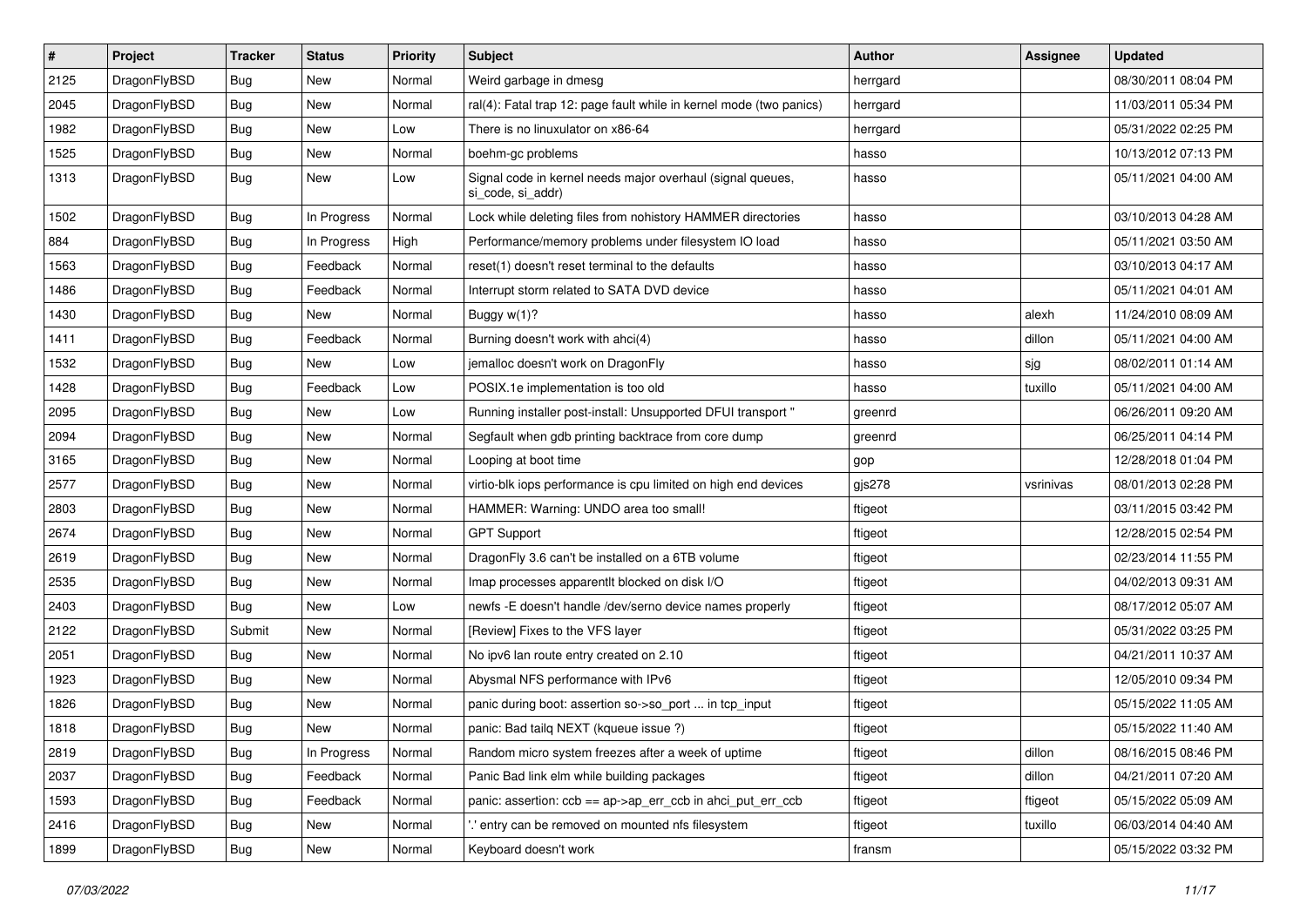| $\vert$ # | Project      | <b>Tracker</b> | <b>Status</b> | <b>Priority</b> | <b>Subject</b>                                                                  | Author   | <b>Assignee</b> | <b>Updated</b>      |
|-----------|--------------|----------------|---------------|-----------------|---------------------------------------------------------------------------------|----------|-----------------|---------------------|
| 2125      | DragonFlyBSD | <b>Bug</b>     | <b>New</b>    | Normal          | Weird garbage in dmesg                                                          | herrgard |                 | 08/30/2011 08:04 PM |
| 2045      | DragonFlyBSD | <b>Bug</b>     | <b>New</b>    | Normal          | ral(4): Fatal trap 12: page fault while in kernel mode (two panics)             | herrgard |                 | 11/03/2011 05:34 PM |
| 1982      | DragonFlyBSD | <b>Bug</b>     | <b>New</b>    | Low             | There is no linuxulator on x86-64                                               | herrgard |                 | 05/31/2022 02:25 PM |
| 1525      | DragonFlyBSD | Bug            | New           | Normal          | boehm-gc problems                                                               | hasso    |                 | 10/13/2012 07:13 PM |
| 1313      | DragonFlyBSD | Bug            | New           | Low             | Signal code in kernel needs major overhaul (signal queues,<br>si code, si addr) | hasso    |                 | 05/11/2021 04:00 AM |
| 1502      | DragonFlyBSD | Bug            | In Progress   | Normal          | Lock while deleting files from nohistory HAMMER directories                     | hasso    |                 | 03/10/2013 04:28 AM |
| 884       | DragonFlyBSD | Bug            | In Progress   | High            | Performance/memory problems under filesystem IO load                            | hasso    |                 | 05/11/2021 03:50 AM |
| 1563      | DragonFlyBSD | <b>Bug</b>     | Feedback      | Normal          | reset(1) doesn't reset terminal to the defaults                                 | hasso    |                 | 03/10/2013 04:17 AM |
| 1486      | DragonFlyBSD | Bug            | Feedback      | Normal          | Interrupt storm related to SATA DVD device                                      | hasso    |                 | 05/11/2021 04:01 AM |
| 1430      | DragonFlyBSD | <b>Bug</b>     | <b>New</b>    | Normal          | Buggy $w(1)$ ?                                                                  | hasso    | alexh           | 11/24/2010 08:09 AM |
| 1411      | DragonFlyBSD | Bug            | Feedback      | Normal          | Burning doesn't work with ahci(4)                                               | hasso    | dillon          | 05/11/2021 04:00 AM |
| 1532      | DragonFlyBSD | <b>Bug</b>     | New           | Low             | jemalloc doesn't work on DragonFly                                              | hasso    | sjg             | 08/02/2011 01:14 AM |
| 1428      | DragonFlyBSD | <b>Bug</b>     | Feedback      | Low             | POSIX.1e implementation is too old                                              | hasso    | tuxillo         | 05/11/2021 04:00 AM |
| 2095      | DragonFlyBSD | <b>Bug</b>     | <b>New</b>    | Low             | Running installer post-install: Unsupported DFUI transport "                    | greenrd  |                 | 06/26/2011 09:20 AM |
| 2094      | DragonFlyBSD | <b>Bug</b>     | New           | Normal          | Segfault when gdb printing backtrace from core dump                             | greenrd  |                 | 06/25/2011 04:14 PM |
| 3165      | DragonFlyBSD | <b>Bug</b>     | New           | Normal          | Looping at boot time                                                            | gop      |                 | 12/28/2018 01:04 PM |
| 2577      | DragonFlyBSD | <b>Bug</b>     | <b>New</b>    | Normal          | virtio-blk iops performance is cpu limited on high end devices                  | gjs278   | vsrinivas       | 08/01/2013 02:28 PM |
| 2803      | DragonFlyBSD | <b>Bug</b>     | New           | Normal          | HAMMER: Warning: UNDO area too small!                                           | ftigeot  |                 | 03/11/2015 03:42 PM |
| 2674      | DragonFlyBSD | Bug            | <b>New</b>    | Normal          | <b>GPT Support</b>                                                              | ftigeot  |                 | 12/28/2015 02:54 PM |
| 2619      | DragonFlyBSD | <b>Bug</b>     | New           | Normal          | DragonFly 3.6 can't be installed on a 6TB volume                                | ftigeot  |                 | 02/23/2014 11:55 PM |
| 2535      | DragonFlyBSD | <b>Bug</b>     | <b>New</b>    | Normal          | Imap processes apparentlt blocked on disk I/O                                   | ftigeot  |                 | 04/02/2013 09:31 AM |
| 2403      | DragonFlyBSD | Bug            | New           | Low             | newfs - E doesn't handle /dev/serno device names properly                       | ftigeot  |                 | 08/17/2012 05:07 AM |
| 2122      | DragonFlyBSD | Submit         | New           | Normal          | [Review] Fixes to the VFS layer                                                 | ftigeot  |                 | 05/31/2022 03:25 PM |
| 2051      | DragonFlyBSD | Bug            | <b>New</b>    | Normal          | No ipv6 lan route entry created on 2.10                                         | ftigeot  |                 | 04/21/2011 10:37 AM |
| 1923      | DragonFlyBSD | Bug            | New           | Normal          | Abysmal NFS performance with IPv6                                               | ftigeot  |                 | 12/05/2010 09:34 PM |
| 1826      | DragonFlyBSD | <b>Bug</b>     | New           | Normal          | panic during boot: assertion so->so_port  in tcp_input                          | ftigeot  |                 | 05/15/2022 11:05 AM |
| 1818      | DragonFlyBSD | <b>Bug</b>     | New           | Normal          | panic: Bad tailq NEXT (kqueue issue ?)                                          | ftigeot  |                 | 05/15/2022 11:40 AM |
| 2819      | DragonFlyBSD | Bug            | In Progress   | Normal          | Random micro system freezes after a week of uptime                              | ftigeot  | dillon          | 08/16/2015 08:46 PM |
| 2037      | DragonFlyBSD | <b>Bug</b>     | Feedback      | Normal          | Panic Bad link elm while building packages                                      | ftigeot  | dillon          | 04/21/2011 07:20 AM |
| 1593      | DragonFlyBSD | <b>Bug</b>     | Feedback      | Normal          | panic: assertion: ccb == ap->ap_err_ccb in ahci_put_err_ccb                     | ftigeot  | ftigeot         | 05/15/2022 05:09 AM |
| 2416      | DragonFlyBSD | <b>Bug</b>     | New           | Normal          | entry can be removed on mounted nfs filesystem                                  | ftigeot  | tuxillo         | 06/03/2014 04:40 AM |
| 1899      | DragonFlyBSD | <b>Bug</b>     | New           | Normal          | Keyboard doesn't work                                                           | fransm   |                 | 05/15/2022 03:32 PM |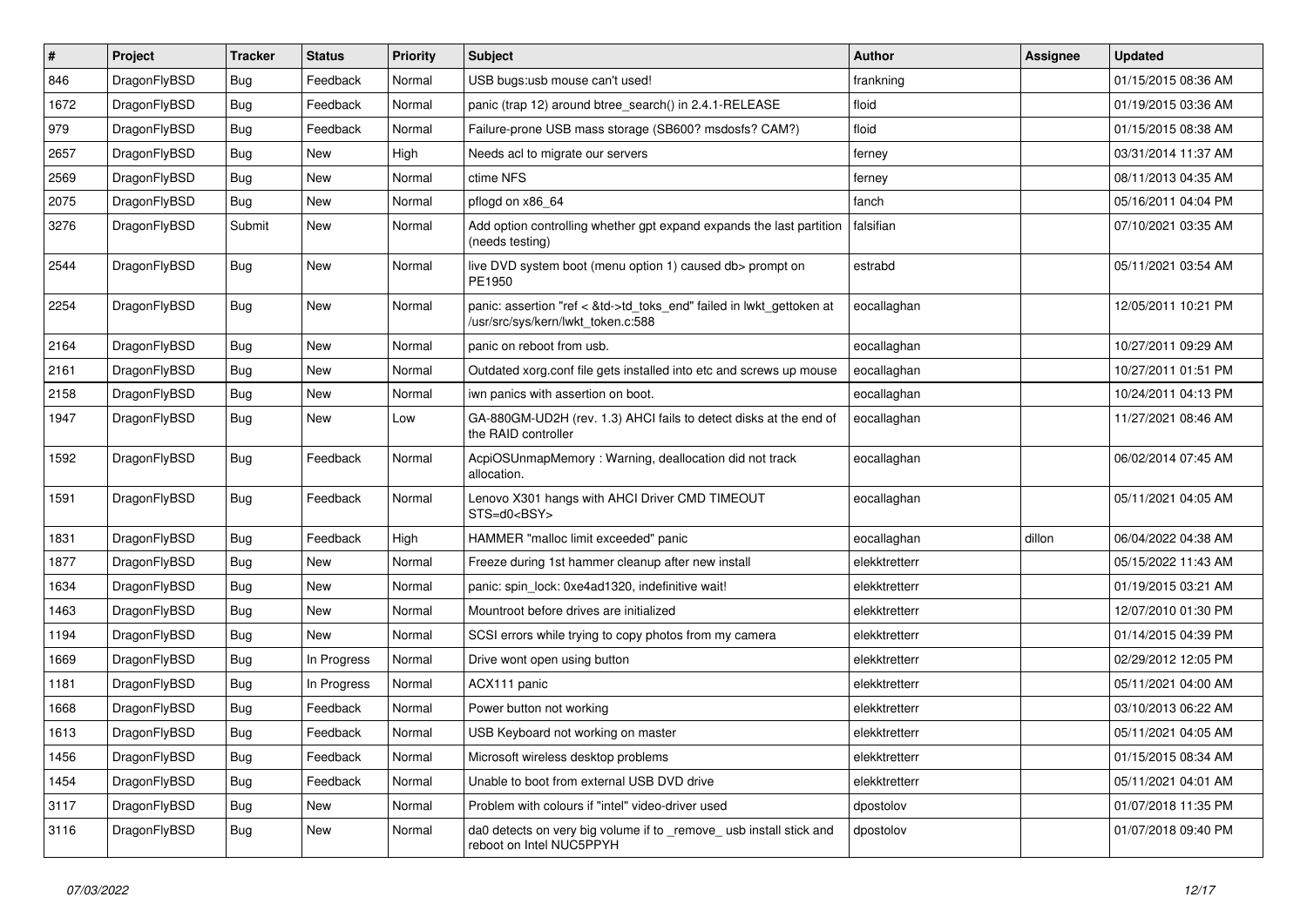| $\sharp$ | Project      | <b>Tracker</b> | <b>Status</b> | <b>Priority</b> | Subject                                                                                                    | Author        | Assignee | <b>Updated</b>      |
|----------|--------------|----------------|---------------|-----------------|------------------------------------------------------------------------------------------------------------|---------------|----------|---------------------|
| 846      | DragonFlyBSD | Bug            | Feedback      | Normal          | USB bugs:usb mouse can't used!                                                                             | frankning     |          | 01/15/2015 08:36 AM |
| 1672     | DragonFlyBSD | Bug            | Feedback      | Normal          | panic (trap 12) around btree_search() in 2.4.1-RELEASE                                                     | floid         |          | 01/19/2015 03:36 AM |
| 979      | DragonFlyBSD | <b>Bug</b>     | Feedback      | Normal          | Failure-prone USB mass storage (SB600? msdosfs? CAM?)                                                      | floid         |          | 01/15/2015 08:38 AM |
| 2657     | DragonFlyBSD | Bug            | New           | High            | Needs acl to migrate our servers                                                                           | ferney        |          | 03/31/2014 11:37 AM |
| 2569     | DragonFlyBSD | Bug            | New           | Normal          | ctime NFS                                                                                                  | ferney        |          | 08/11/2013 04:35 AM |
| 2075     | DragonFlyBSD | Bug            | New           | Normal          | pflogd on x86 64                                                                                           | fanch         |          | 05/16/2011 04:04 PM |
| 3276     | DragonFlyBSD | Submit         | New           | Normal          | Add option controlling whether gpt expand expands the last partition<br>(needs testing)                    | falsifian     |          | 07/10/2021 03:35 AM |
| 2544     | DragonFlyBSD | Bug            | New           | Normal          | live DVD system boot (menu option 1) caused db> prompt on<br>PE1950                                        | estrabd       |          | 05/11/2021 03:54 AM |
| 2254     | DragonFlyBSD | Bug            | <b>New</b>    | Normal          | panic: assertion "ref < &td->td_toks_end" failed in lwkt_gettoken at<br>/usr/src/sys/kern/lwkt_token.c:588 | eocallaghan   |          | 12/05/2011 10:21 PM |
| 2164     | DragonFlyBSD | Bug            | <b>New</b>    | Normal          | panic on reboot from usb.                                                                                  | eocallaghan   |          | 10/27/2011 09:29 AM |
| 2161     | DragonFlyBSD | Bug            | New           | Normal          | Outdated xorg.conf file gets installed into etc and screws up mouse                                        | eocallaghan   |          | 10/27/2011 01:51 PM |
| 2158     | DragonFlyBSD | Bug            | New           | Normal          | iwn panics with assertion on boot.                                                                         | eocallaghan   |          | 10/24/2011 04:13 PM |
| 1947     | DragonFlyBSD | Bug            | <b>New</b>    | Low             | GA-880GM-UD2H (rev. 1.3) AHCI fails to detect disks at the end of<br>the RAID controller                   | eocallaghan   |          | 11/27/2021 08:46 AM |
| 1592     | DragonFlyBSD | <b>Bug</b>     | Feedback      | Normal          | AcpiOSUnmapMemory: Warning, deallocation did not track<br>allocation.                                      | eocallaghan   |          | 06/02/2014 07:45 AM |
| 1591     | DragonFlyBSD | Bug            | Feedback      | Normal          | Lenovo X301 hangs with AHCI Driver CMD TIMEOUT<br>STS=d0 <bsy></bsy>                                       | eocallaghan   |          | 05/11/2021 04:05 AM |
| 1831     | DragonFlyBSD | Bug            | Feedback      | High            | HAMMER "malloc limit exceeded" panic                                                                       | eocallaghan   | dillon   | 06/04/2022 04:38 AM |
| 1877     | DragonFlyBSD | Bug            | New           | Normal          | Freeze during 1st hammer cleanup after new install                                                         | elekktretterr |          | 05/15/2022 11:43 AM |
| 1634     | DragonFlyBSD | Bug            | New           | Normal          | panic: spin lock: 0xe4ad1320, indefinitive wait!                                                           | elekktretterr |          | 01/19/2015 03:21 AM |
| 1463     | DragonFlyBSD | Bug            | <b>New</b>    | Normal          | Mountroot before drives are initialized                                                                    | elekktretterr |          | 12/07/2010 01:30 PM |
| 1194     | DragonFlyBSD | Bug            | New           | Normal          | SCSI errors while trying to copy photos from my camera                                                     | elekktretterr |          | 01/14/2015 04:39 PM |
| 1669     | DragonFlyBSD | Bug            | In Progress   | Normal          | Drive wont open using button                                                                               | elekktretterr |          | 02/29/2012 12:05 PM |
| 1181     | DragonFlyBSD | Bug            | In Progress   | Normal          | ACX111 panic                                                                                               | elekktretterr |          | 05/11/2021 04:00 AM |
| 1668     | DragonFlyBSD | Bug            | Feedback      | Normal          | Power button not working                                                                                   | elekktretterr |          | 03/10/2013 06:22 AM |
| 1613     | DragonFlyBSD | Bug            | Feedback      | Normal          | USB Keyboard not working on master                                                                         | elekktretterr |          | 05/11/2021 04:05 AM |
| 1456     | DragonFlyBSD | Bug            | Feedback      | Normal          | Microsoft wireless desktop problems                                                                        | elekktretterr |          | 01/15/2015 08:34 AM |
| 1454     | DragonFlyBSD | Bug            | Feedback      | Normal          | Unable to boot from external USB DVD drive                                                                 | elekktretterr |          | 05/11/2021 04:01 AM |
| 3117     | DragonFlyBSD | <b>Bug</b>     | <b>New</b>    | Normal          | Problem with colours if "intel" video-driver used                                                          | dpostolov     |          | 01/07/2018 11:35 PM |
| 3116     | DragonFlyBSD | Bug            | New           | Normal          | da0 detects on very big volume if to _remove_ usb install stick and<br>reboot on Intel NUC5PPYH            | dpostolov     |          | 01/07/2018 09:40 PM |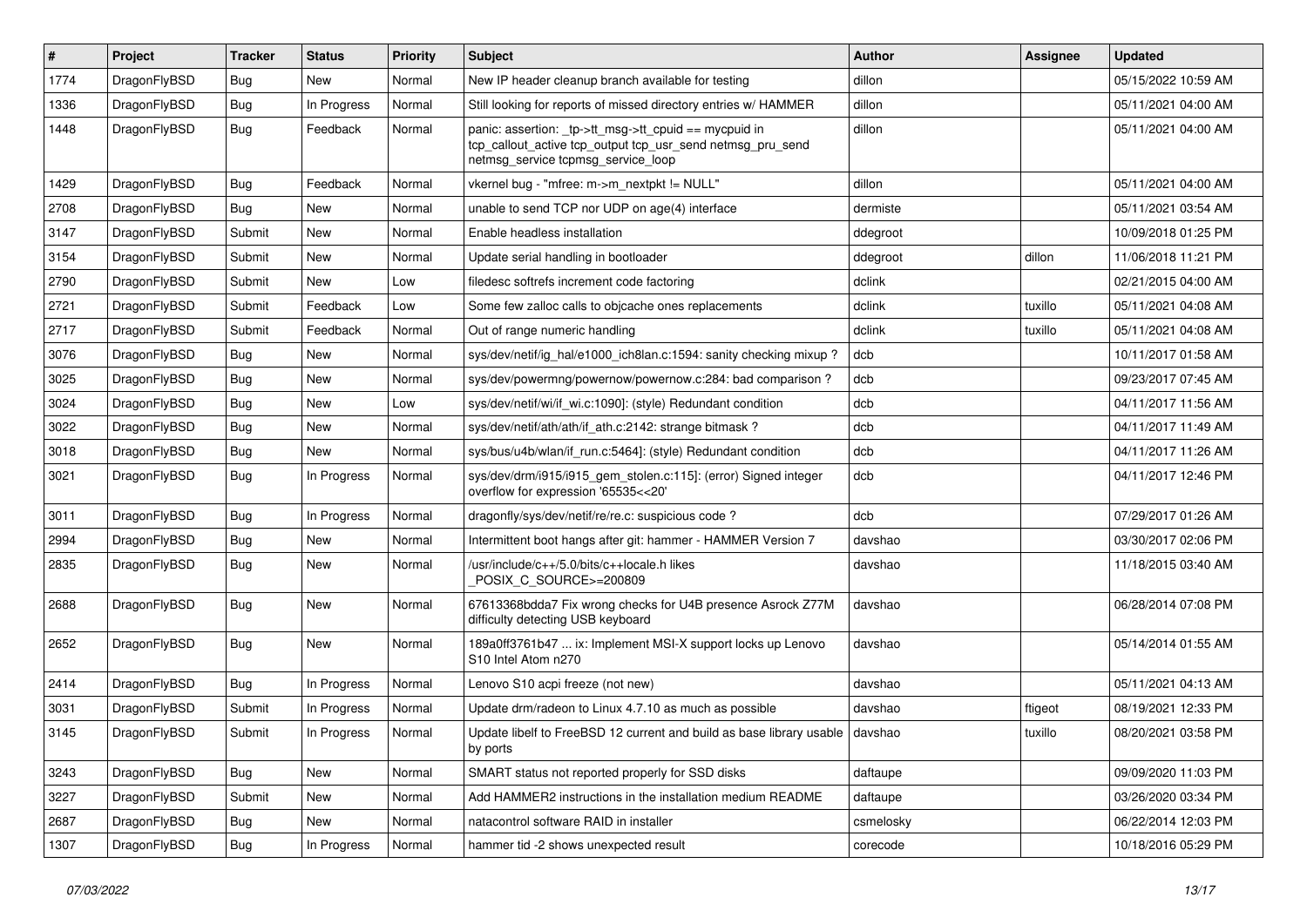| $\sharp$ | Project      | <b>Tracker</b> | <b>Status</b> | <b>Priority</b> | Subject                                                                                                                                                   | Author    | Assignee | <b>Updated</b>      |
|----------|--------------|----------------|---------------|-----------------|-----------------------------------------------------------------------------------------------------------------------------------------------------------|-----------|----------|---------------------|
| 1774     | DragonFlyBSD | <b>Bug</b>     | <b>New</b>    | Normal          | New IP header cleanup branch available for testing                                                                                                        | dillon    |          | 05/15/2022 10:59 AM |
| 1336     | DragonFlyBSD | Bug            | In Progress   | Normal          | Still looking for reports of missed directory entries w/ HAMMER                                                                                           | dillon    |          | 05/11/2021 04:00 AM |
| 1448     | DragonFlyBSD | Bug            | Feedback      | Normal          | panic: assertion: _tp->tt_msg->tt_cpuid == mycpuid in<br>tcp_callout_active tcp_output tcp_usr_send netmsg_pru_send<br>netmsg_service tcpmsg_service_loop | dillon    |          | 05/11/2021 04:00 AM |
| 1429     | DragonFlyBSD | <b>Bug</b>     | Feedback      | Normal          | vkernel bug - "mfree: m->m_nextpkt != NULL"                                                                                                               | dillon    |          | 05/11/2021 04:00 AM |
| 2708     | DragonFlyBSD | <b>Bug</b>     | <b>New</b>    | Normal          | unable to send TCP nor UDP on age(4) interface                                                                                                            | dermiste  |          | 05/11/2021 03:54 AM |
| 3147     | DragonFlyBSD | Submit         | <b>New</b>    | Normal          | Enable headless installation                                                                                                                              | ddegroot  |          | 10/09/2018 01:25 PM |
| 3154     | DragonFlyBSD | Submit         | New           | Normal          | Update serial handling in bootloader                                                                                                                      | ddegroot  | dillon   | 11/06/2018 11:21 PM |
| 2790     | DragonFlyBSD | Submit         | <b>New</b>    | Low             | filedesc softrefs increment code factoring                                                                                                                | dclink    |          | 02/21/2015 04:00 AM |
| 2721     | DragonFlyBSD | Submit         | Feedback      | Low             | Some few zalloc calls to objcache ones replacements                                                                                                       | dclink    | tuxillo  | 05/11/2021 04:08 AM |
| 2717     | DragonFlyBSD | Submit         | Feedback      | Normal          | Out of range numeric handling                                                                                                                             | dclink    | tuxillo  | 05/11/2021 04:08 AM |
| 3076     | DragonFlyBSD | Bug            | New           | Normal          | sys/dev/netif/ig hal/e1000 ich8lan.c:1594: sanity checking mixup?                                                                                         | dcb       |          | 10/11/2017 01:58 AM |
| 3025     | DragonFlyBSD | <b>Bug</b>     | <b>New</b>    | Normal          | sys/dev/powermng/powernow/powernow.c:284: bad comparison?                                                                                                 | dcb       |          | 09/23/2017 07:45 AM |
| 3024     | DragonFlyBSD | <b>Bug</b>     | <b>New</b>    | Low             | sys/dev/netif/wi/if wi.c:1090]: (style) Redundant condition                                                                                               | dcb       |          | 04/11/2017 11:56 AM |
| 3022     | DragonFlyBSD | <b>Bug</b>     | New           | Normal          | sys/dev/netif/ath/ath/if ath.c:2142: strange bitmask?                                                                                                     | dcb       |          | 04/11/2017 11:49 AM |
| 3018     | DragonFlyBSD | <b>Bug</b>     | New           | Normal          | sys/bus/u4b/wlan/if run.c:5464]: (style) Redundant condition                                                                                              | dcb       |          | 04/11/2017 11:26 AM |
| 3021     | DragonFlyBSD | Bug            | In Progress   | Normal          | sys/dev/drm/i915/i915_gem_stolen.c:115]: (error) Signed integer<br>overflow for expression '65535<<20'                                                    | dcb       |          | 04/11/2017 12:46 PM |
| 3011     | DragonFlyBSD | Bug            | In Progress   | Normal          | dragonfly/sys/dev/netif/re/re.c: suspicious code?                                                                                                         | dcb       |          | 07/29/2017 01:26 AM |
| 2994     | DragonFlyBSD | <b>Bug</b>     | New           | Normal          | Intermittent boot hangs after git: hammer - HAMMER Version 7                                                                                              | davshao   |          | 03/30/2017 02:06 PM |
| 2835     | DragonFlyBSD | Bug            | New           | Normal          | /usr/include/c++/5.0/bits/c++locale.h likes<br>POSIX C_SOURCE>=200809                                                                                     | davshao   |          | 11/18/2015 03:40 AM |
| 2688     | DragonFlyBSD | Bug            | <b>New</b>    | Normal          | 67613368bdda7 Fix wrong checks for U4B presence Asrock Z77M<br>difficulty detecting USB keyboard                                                          | davshao   |          | 06/28/2014 07:08 PM |
| 2652     | DragonFlyBSD | <b>Bug</b>     | <b>New</b>    | Normal          | 189a0ff3761b47  ix: Implement MSI-X support locks up Lenovo<br>S10 Intel Atom n270                                                                        | davshao   |          | 05/14/2014 01:55 AM |
| 2414     | DragonFlyBSD | Bug            | In Progress   | Normal          | Lenovo S10 acpi freeze (not new)                                                                                                                          | davshao   |          | 05/11/2021 04:13 AM |
| 3031     | DragonFlyBSD | Submit         | In Progress   | Normal          | Update drm/radeon to Linux 4.7.10 as much as possible                                                                                                     | davshao   | ftigeot  | 08/19/2021 12:33 PM |
| 3145     | DragonFlyBSD | Submit         | In Progress   | Normal          | Update libelf to FreeBSD 12 current and build as base library usable<br>by ports                                                                          | l davshao | tuxillo  | 08/20/2021 03:58 PM |
| 3243     | DragonFlyBSD | <b>Bug</b>     | New           | Normal          | SMART status not reported properly for SSD disks                                                                                                          | daftaupe  |          | 09/09/2020 11:03 PM |
| 3227     | DragonFlyBSD | Submit         | New           | Normal          | Add HAMMER2 instructions in the installation medium README                                                                                                | daftaupe  |          | 03/26/2020 03:34 PM |
| 2687     | DragonFlyBSD | <b>Bug</b>     | New           | Normal          | natacontrol software RAID in installer                                                                                                                    | csmelosky |          | 06/22/2014 12:03 PM |
| 1307     | DragonFlyBSD | <b>Bug</b>     | In Progress   | Normal          | hammer tid -2 shows unexpected result                                                                                                                     | corecode  |          | 10/18/2016 05:29 PM |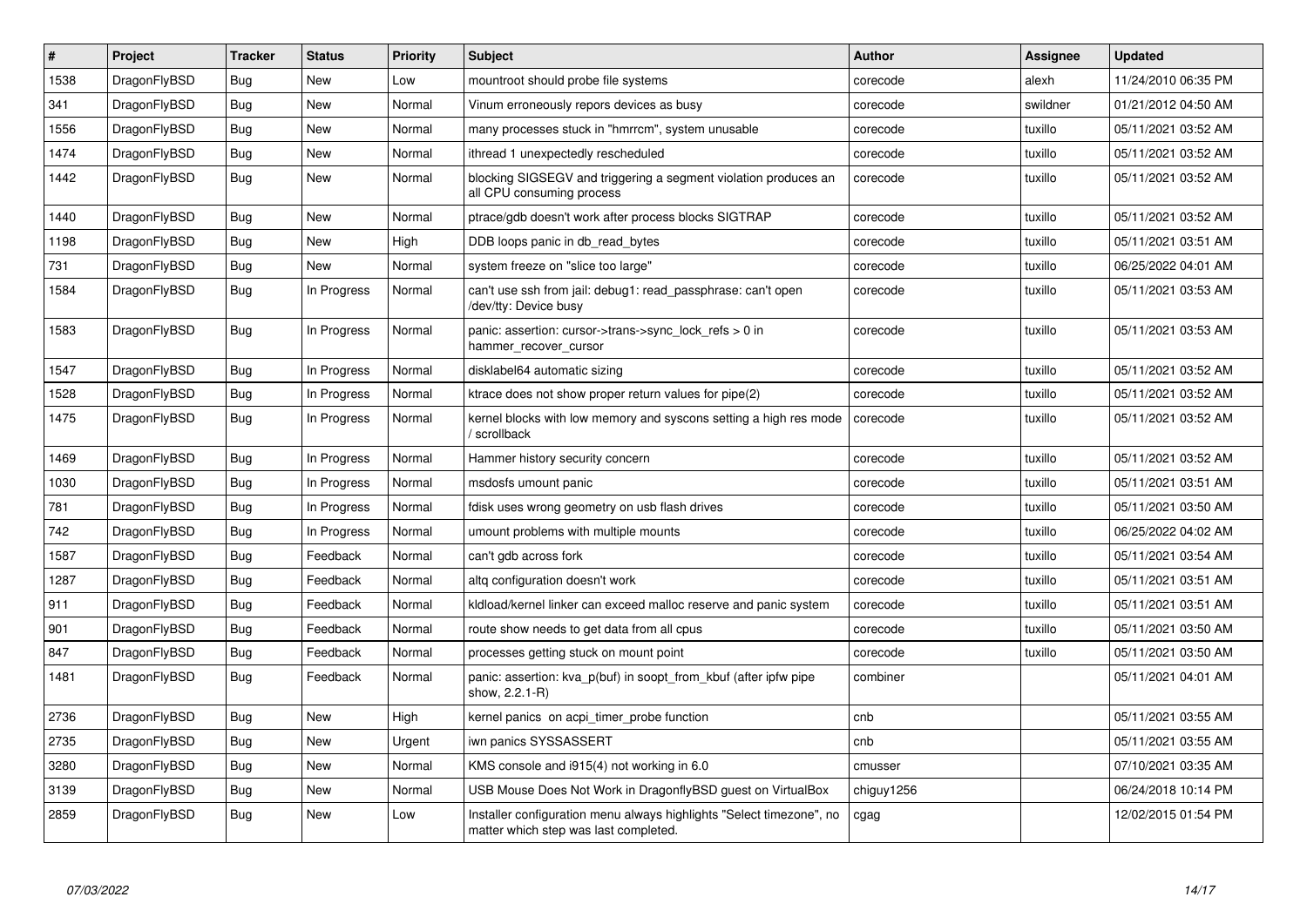| $\#$ | Project      | Tracker    | <b>Status</b> | <b>Priority</b> | <b>Subject</b>                                                                                                | <b>Author</b> | Assignee | <b>Updated</b>      |
|------|--------------|------------|---------------|-----------------|---------------------------------------------------------------------------------------------------------------|---------------|----------|---------------------|
| 1538 | DragonFlyBSD | <b>Bug</b> | <b>New</b>    | Low             | mountroot should probe file systems                                                                           | corecode      | alexh    | 11/24/2010 06:35 PM |
| 341  | DragonFlyBSD | Bug        | <b>New</b>    | Normal          | Vinum erroneously repors devices as busy                                                                      | corecode      | swildner | 01/21/2012 04:50 AM |
| 1556 | DragonFlyBSD | Bug        | <b>New</b>    | Normal          | many processes stuck in "hmrrcm", system unusable                                                             | corecode      | tuxillo  | 05/11/2021 03:52 AM |
| 1474 | DragonFlyBSD | Bug        | New           | Normal          | ithread 1 unexpectedly rescheduled                                                                            | corecode      | tuxillo  | 05/11/2021 03:52 AM |
| 1442 | DragonFlyBSD | <b>Bug</b> | <b>New</b>    | Normal          | blocking SIGSEGV and triggering a segment violation produces an<br>all CPU consuming process                  | corecode      | tuxillo  | 05/11/2021 03:52 AM |
| 1440 | DragonFlyBSD | <b>Bug</b> | <b>New</b>    | Normal          | ptrace/gdb doesn't work after process blocks SIGTRAP                                                          | corecode      | tuxillo  | 05/11/2021 03:52 AM |
| 1198 | DragonFlyBSD | Bug        | <b>New</b>    | High            | DDB loops panic in db read bytes                                                                              | corecode      | tuxillo  | 05/11/2021 03:51 AM |
| 731  | DragonFlyBSD | Bug        | <b>New</b>    | Normal          | system freeze on "slice too large"                                                                            | corecode      | tuxillo  | 06/25/2022 04:01 AM |
| 1584 | DragonFlyBSD | Bug        | In Progress   | Normal          | can't use ssh from jail: debug1: read passphrase: can't open<br>/dev/tty: Device busy                         | corecode      | tuxillo  | 05/11/2021 03:53 AM |
| 1583 | DragonFlyBSD | <b>Bug</b> | In Progress   | Normal          | panic: assertion: cursor->trans->sync_lock_refs > 0 in<br>hammer_recover_cursor                               | corecode      | tuxillo  | 05/11/2021 03:53 AM |
| 1547 | DragonFlyBSD | Bug        | In Progress   | Normal          | disklabel64 automatic sizing                                                                                  | corecode      | tuxillo  | 05/11/2021 03:52 AM |
| 1528 | DragonFlyBSD | Bug        | In Progress   | Normal          | ktrace does not show proper return values for pipe(2)                                                         | corecode      | tuxillo  | 05/11/2021 03:52 AM |
| 1475 | DragonFlyBSD | Bug        | In Progress   | Normal          | kernel blocks with low memory and syscons setting a high res mode<br>/ scrollback                             | corecode      | tuxillo  | 05/11/2021 03:52 AM |
| 1469 | DragonFlyBSD | Bug        | In Progress   | Normal          | Hammer history security concern                                                                               | corecode      | tuxillo  | 05/11/2021 03:52 AM |
| 1030 | DragonFlyBSD | Bug        | In Progress   | Normal          | msdosfs umount panic                                                                                          | corecode      | tuxillo  | 05/11/2021 03:51 AM |
| 781  | DragonFlyBSD | <b>Bug</b> | In Progress   | Normal          | fdisk uses wrong geometry on usb flash drives                                                                 | corecode      | tuxillo  | 05/11/2021 03:50 AM |
| 742  | DragonFlyBSD | Bug        | In Progress   | Normal          | umount problems with multiple mounts                                                                          | corecode      | tuxillo  | 06/25/2022 04:02 AM |
| 1587 | DragonFlyBSD | Bug        | Feedback      | Normal          | can't gdb across fork                                                                                         | corecode      | tuxillo  | 05/11/2021 03:54 AM |
| 1287 | DragonFlyBSD | <b>Bug</b> | Feedback      | Normal          | altg configuration doesn't work                                                                               | corecode      | tuxillo  | 05/11/2021 03:51 AM |
| 911  | DragonFlyBSD | <b>Bug</b> | Feedback      | Normal          | kldload/kernel linker can exceed malloc reserve and panic system                                              | corecode      | tuxillo  | 05/11/2021 03:51 AM |
| 901  | DragonFlyBSD | Bug        | Feedback      | Normal          | route show needs to get data from all cpus                                                                    | corecode      | tuxillo  | 05/11/2021 03:50 AM |
| 847  | DragonFlyBSD | <b>Bug</b> | Feedback      | Normal          | processes getting stuck on mount point                                                                        | corecode      | tuxillo  | 05/11/2021 03:50 AM |
| 1481 | DragonFlyBSD | Bug        | Feedback      | Normal          | panic: assertion: kva p(buf) in soopt from kbuf (after ipfw pipe<br>show, 2.2.1-R)                            | combiner      |          | 05/11/2021 04:01 AM |
| 2736 | DragonFlyBSD | Bug        | New           | High            | kernel panics on acpi timer probe function                                                                    | cnb           |          | 05/11/2021 03:55 AM |
| 2735 | DragonFlyBSD | Bug        | New           | Urgent          | iwn panics SYSSASSERT                                                                                         | cnb           |          | 05/11/2021 03:55 AM |
| 3280 | DragonFlyBSD | <b>Bug</b> | New           | Normal          | KMS console and i915(4) not working in 6.0                                                                    | cmusser       |          | 07/10/2021 03:35 AM |
| 3139 | DragonFlyBSD | Bug        | <b>New</b>    | Normal          | USB Mouse Does Not Work in DragonflyBSD quest on VirtualBox                                                   | chiguy1256    |          | 06/24/2018 10:14 PM |
| 2859 | DragonFlyBSD | Bug        | New           | Low             | Installer configuration menu always highlights "Select timezone", no<br>matter which step was last completed. | cgag          |          | 12/02/2015 01:54 PM |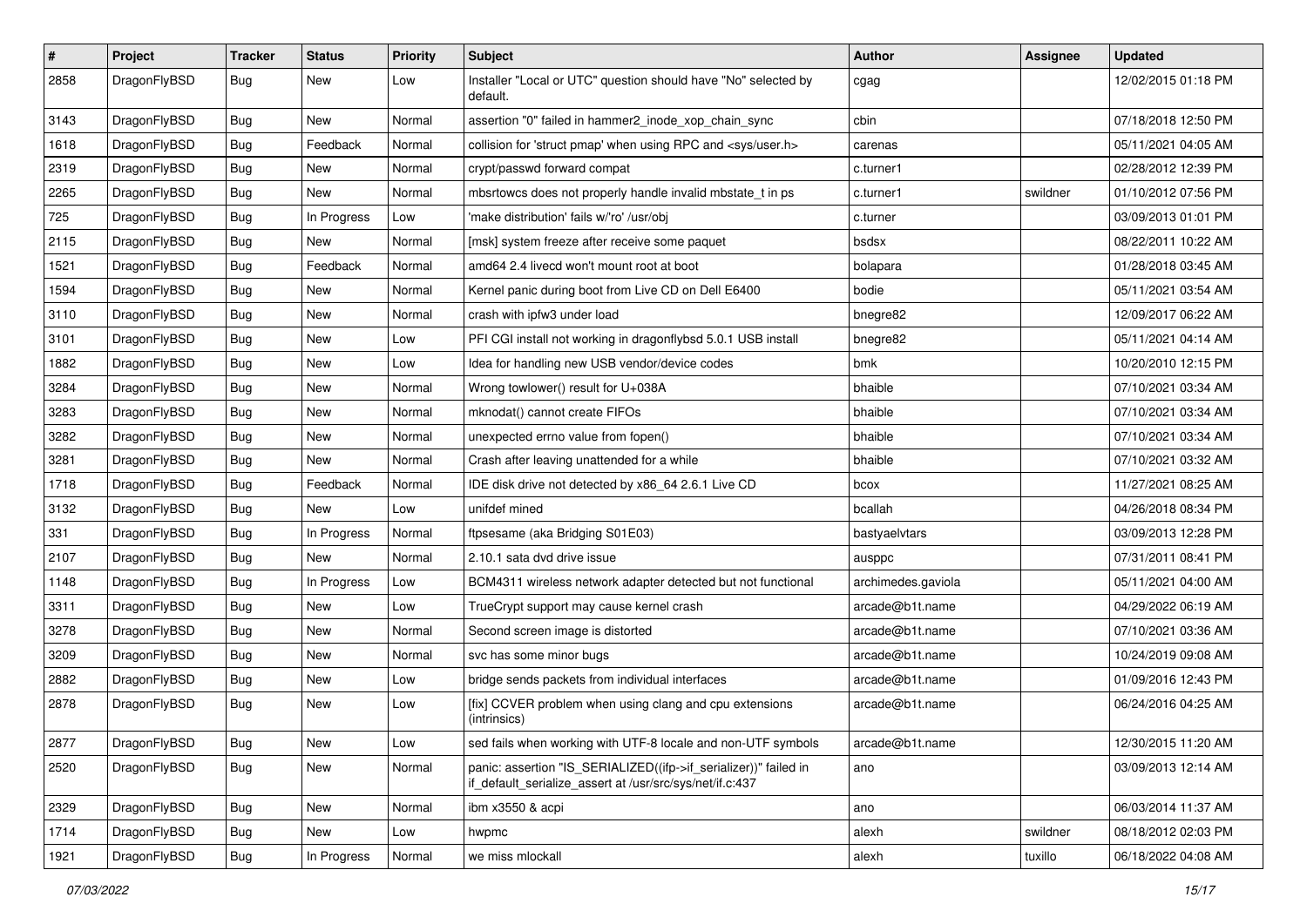| $\vert$ # | Project      | <b>Tracker</b> | <b>Status</b> | <b>Priority</b> | <b>Subject</b>                                                                                                               | Author             | Assignee | <b>Updated</b>      |
|-----------|--------------|----------------|---------------|-----------------|------------------------------------------------------------------------------------------------------------------------------|--------------------|----------|---------------------|
| 2858      | DragonFlyBSD | Bug            | New           | Low             | Installer "Local or UTC" question should have "No" selected by<br>default.                                                   | cgag               |          | 12/02/2015 01:18 PM |
| 3143      | DragonFlyBSD | <b>Bug</b>     | New           | Normal          | assertion "0" failed in hammer2 inode xop chain sync                                                                         | cbin               |          | 07/18/2018 12:50 PM |
| 1618      | DragonFlyBSD | Bug            | Feedback      | Normal          | collision for 'struct pmap' when using RPC and <sys user.h=""></sys>                                                         | carenas            |          | 05/11/2021 04:05 AM |
| 2319      | DragonFlyBSD | Bug            | <b>New</b>    | Normal          | crypt/passwd forward compat                                                                                                  | c.turner1          |          | 02/28/2012 12:39 PM |
| 2265      | DragonFlyBSD | <b>Bug</b>     | New           | Normal          | mbsrtowcs does not properly handle invalid mbstate t in ps                                                                   | c.turner1          | swildner | 01/10/2012 07:56 PM |
| 725       | DragonFlyBSD | Bug            | In Progress   | Low             | 'make distribution' fails w/'ro' /usr/obi                                                                                    | c.turner           |          | 03/09/2013 01:01 PM |
| 2115      | DragonFlyBSD | <b>Bug</b>     | New           | Normal          | [msk] system freeze after receive some paquet                                                                                | bsdsx              |          | 08/22/2011 10:22 AM |
| 1521      | DragonFlyBSD | Bug            | Feedback      | Normal          | amd64 2.4 livecd won't mount root at boot                                                                                    | bolapara           |          | 01/28/2018 03:45 AM |
| 1594      | DragonFlyBSD | <b>Bug</b>     | <b>New</b>    | Normal          | Kernel panic during boot from Live CD on Dell E6400                                                                          | bodie              |          | 05/11/2021 03:54 AM |
| 3110      | DragonFlyBSD | <b>Bug</b>     | New           | Normal          | crash with ipfw3 under load                                                                                                  | bnegre82           |          | 12/09/2017 06:22 AM |
| 3101      | DragonFlyBSD | Bug            | <b>New</b>    | Low             | PFI CGI install not working in dragonflybsd 5.0.1 USB install                                                                | bnegre82           |          | 05/11/2021 04:14 AM |
| 1882      | DragonFlyBSD | <b>Bug</b>     | New           | Low             | Idea for handling new USB vendor/device codes                                                                                | bmk                |          | 10/20/2010 12:15 PM |
| 3284      | DragonFlyBSD | Bug            | New           | Normal          | Wrong towlower() result for U+038A                                                                                           | bhaible            |          | 07/10/2021 03:34 AM |
| 3283      | DragonFlyBSD | Bug            | <b>New</b>    | Normal          | mknodat() cannot create FIFOs                                                                                                | bhaible            |          | 07/10/2021 03:34 AM |
| 3282      | DragonFlyBSD | <b>Bug</b>     | New           | Normal          | unexpected errno value from fopen()                                                                                          | bhaible            |          | 07/10/2021 03:34 AM |
| 3281      | DragonFlyBSD | Bug            | New           | Normal          | Crash after leaving unattended for a while                                                                                   | bhaible            |          | 07/10/2021 03:32 AM |
| 1718      | DragonFlyBSD | Bug            | Feedback      | Normal          | IDE disk drive not detected by x86_64 2.6.1 Live CD                                                                          | bcox               |          | 11/27/2021 08:25 AM |
| 3132      | DragonFlyBSD | <b>Bug</b>     | New           | Low             | unifdef mined                                                                                                                | bcallah            |          | 04/26/2018 08:34 PM |
| 331       | DragonFlyBSD | Bug            | In Progress   | Normal          | ftpsesame (aka Bridging S01E03)                                                                                              | bastyaelvtars      |          | 03/09/2013 12:28 PM |
| 2107      | DragonFlyBSD | Bug            | New           | Normal          | 2.10.1 sata dvd drive issue                                                                                                  | ausppc             |          | 07/31/2011 08:41 PM |
| 1148      | DragonFlyBSD | <b>Bug</b>     | In Progress   | Low             | BCM4311 wireless network adapter detected but not functional                                                                 | archimedes.gaviola |          | 05/11/2021 04:00 AM |
| 3311      | DragonFlyBSD | Bug            | <b>New</b>    | Low             | TrueCrypt support may cause kernel crash                                                                                     | arcade@b1t.name    |          | 04/29/2022 06:19 AM |
| 3278      | DragonFlyBSD | <b>Bug</b>     | New           | Normal          | Second screen image is distorted                                                                                             | arcade@b1t.name    |          | 07/10/2021 03:36 AM |
| 3209      | DragonFlyBSD | Bug            | <b>New</b>    | Normal          | svc has some minor bugs                                                                                                      | arcade@b1t.name    |          | 10/24/2019 09:08 AM |
| 2882      | DragonFlyBSD | Bug            | New           | Low             | bridge sends packets from individual interfaces                                                                              | arcade@b1t.name    |          | 01/09/2016 12:43 PM |
| 2878      | DragonFlyBSD | Bug            | New           | Low             | [fix] CCVER problem when using clang and cpu extensions<br>(intrinsics)                                                      | arcade@b1t.name    |          | 06/24/2016 04:25 AM |
| 2877      | DragonFlyBSD | Bug            | New           | Low             | sed fails when working with UTF-8 locale and non-UTF symbols                                                                 | arcade@b1t.name    |          | 12/30/2015 11:20 AM |
| 2520      | DragonFlyBSD | <b>Bug</b>     | New           | Normal          | panic: assertion "IS_SERIALIZED((ifp->if_serializer))" failed in<br>if_default_serialize_assert at /usr/src/sys/net/if.c:437 | ano                |          | 03/09/2013 12:14 AM |
| 2329      | DragonFlyBSD | <b>Bug</b>     | New           | Normal          | ibm x3550 & acpi                                                                                                             | ano                |          | 06/03/2014 11:37 AM |
| 1714      | DragonFlyBSD | Bug            | New           | Low             | hwpmc                                                                                                                        | alexh              | swildner | 08/18/2012 02:03 PM |
| 1921      | DragonFlyBSD | Bug            | In Progress   | Normal          | we miss mlockall                                                                                                             | alexh              | tuxillo  | 06/18/2022 04:08 AM |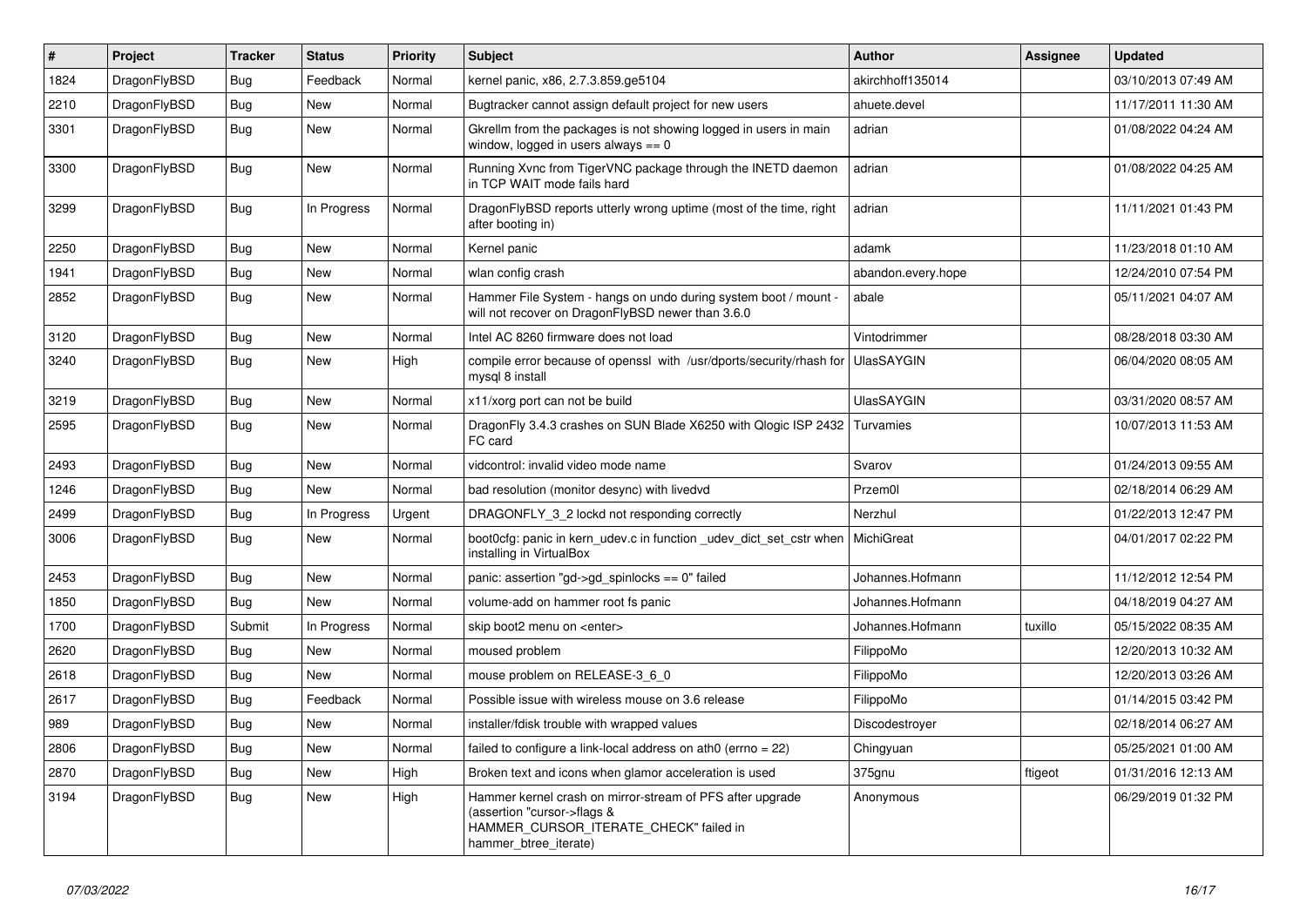| $\sharp$ | Project      | <b>Tracker</b> | <b>Status</b> | <b>Priority</b> | <b>Subject</b>                                                                                                                                              | <b>Author</b>      | Assignee | <b>Updated</b>      |
|----------|--------------|----------------|---------------|-----------------|-------------------------------------------------------------------------------------------------------------------------------------------------------------|--------------------|----------|---------------------|
| 1824     | DragonFlyBSD | Bug            | Feedback      | Normal          | kernel panic, x86, 2.7.3.859.ge5104                                                                                                                         | akirchhoff135014   |          | 03/10/2013 07:49 AM |
| 2210     | DragonFlyBSD | Bug            | <b>New</b>    | Normal          | Bugtracker cannot assign default project for new users                                                                                                      | ahuete.devel       |          | 11/17/2011 11:30 AM |
| 3301     | DragonFlyBSD | Bug            | <b>New</b>    | Normal          | Gkrellm from the packages is not showing logged in users in main<br>window, logged in users always $== 0$                                                   | adrian             |          | 01/08/2022 04:24 AM |
| 3300     | DragonFlyBSD | <b>Bug</b>     | <b>New</b>    | Normal          | Running Xvnc from TigerVNC package through the INETD daemon<br>in TCP WAIT mode fails hard                                                                  | adrian             |          | 01/08/2022 04:25 AM |
| 3299     | DragonFlyBSD | <b>Bug</b>     | In Progress   | Normal          | DragonFlyBSD reports utterly wrong uptime (most of the time, right<br>after booting in)                                                                     | adrian             |          | 11/11/2021 01:43 PM |
| 2250     | DragonFlyBSD | Bug            | <b>New</b>    | Normal          | Kernel panic                                                                                                                                                | adamk              |          | 11/23/2018 01:10 AM |
| 1941     | DragonFlyBSD | Bug            | New           | Normal          | wlan config crash                                                                                                                                           | abandon.every.hope |          | 12/24/2010 07:54 PM |
| 2852     | DragonFlyBSD | Bug            | <b>New</b>    | Normal          | Hammer File System - hangs on undo during system boot / mount -<br>will not recover on DragonFlyBSD newer than 3.6.0                                        | abale              |          | 05/11/2021 04:07 AM |
| 3120     | DragonFlyBSD | <b>Bug</b>     | <b>New</b>    | Normal          | Intel AC 8260 firmware does not load                                                                                                                        | Vintodrimmer       |          | 08/28/2018 03:30 AM |
| 3240     | DragonFlyBSD | <b>Bug</b>     | <b>New</b>    | High            | compile error because of openssl with /usr/dports/security/rhash for<br>mysql 8 install                                                                     | <b>UlasSAYGIN</b>  |          | 06/04/2020 08:05 AM |
| 3219     | DragonFlyBSD | Bug            | <b>New</b>    | Normal          | x11/xorg port can not be build                                                                                                                              | <b>UlasSAYGIN</b>  |          | 03/31/2020 08:57 AM |
| 2595     | DragonFlyBSD | Bug            | <b>New</b>    | Normal          | DragonFly 3.4.3 crashes on SUN Blade X6250 with Qlogic ISP 2432<br>FC card                                                                                  | Turvamies          |          | 10/07/2013 11:53 AM |
| 2493     | DragonFlyBSD | Bug            | <b>New</b>    | Normal          | vidcontrol: invalid video mode name                                                                                                                         | Svarov             |          | 01/24/2013 09:55 AM |
| 1246     | DragonFlyBSD | Bug            | <b>New</b>    | Normal          | bad resolution (monitor desync) with livedvd                                                                                                                | Przem0l            |          | 02/18/2014 06:29 AM |
| 2499     | DragonFlyBSD | <b>Bug</b>     | In Progress   | Urgent          | DRAGONFLY 3 2 lockd not responding correctly                                                                                                                | Nerzhul            |          | 01/22/2013 12:47 PM |
| 3006     | DragonFlyBSD | Bug            | <b>New</b>    | Normal          | boot Ocfg: panic in kern udev.c in function udev dict set cstr when<br>installing in VirtualBox                                                             | MichiGreat         |          | 04/01/2017 02:22 PM |
| 2453     | DragonFlyBSD | <b>Bug</b>     | <b>New</b>    | Normal          | panic: assertion "gd->gd_spinlocks == 0" failed                                                                                                             | Johannes.Hofmann   |          | 11/12/2012 12:54 PM |
| 1850     | DragonFlyBSD | Bug            | <b>New</b>    | Normal          | volume-add on hammer root fs panic                                                                                                                          | Johannes.Hofmann   |          | 04/18/2019 04:27 AM |
| 1700     | DragonFlyBSD | Submit         | In Progress   | Normal          | skip boot2 menu on <enter></enter>                                                                                                                          | Johannes.Hofmann   | tuxillo  | 05/15/2022 08:35 AM |
| 2620     | DragonFlyBSD | Bug            | <b>New</b>    | Normal          | moused problem                                                                                                                                              | FilippoMo          |          | 12/20/2013 10:32 AM |
| 2618     | DragonFlyBSD | Bug            | <b>New</b>    | Normal          | mouse problem on RELEASE-3 6 0                                                                                                                              | FilippoMo          |          | 12/20/2013 03:26 AM |
| 2617     | DragonFlyBSD | <b>Bug</b>     | Feedback      | Normal          | Possible issue with wireless mouse on 3.6 release                                                                                                           | FilippoMo          |          | 01/14/2015 03:42 PM |
| 989      | DragonFlyBSD | <b>Bug</b>     | <b>New</b>    | Normal          | installer/fdisk trouble with wrapped values                                                                                                                 | Discodestroyer     |          | 02/18/2014 06:27 AM |
| 2806     | DragonFlyBSD | Bug            | <b>New</b>    | Normal          | failed to configure a link-local address on ath0 (errno = 22)                                                                                               | Chingyuan          |          | 05/25/2021 01:00 AM |
| 2870     | DragonFlyBSD | <b>Bug</b>     | <b>New</b>    | High            | Broken text and icons when glamor acceleration is used                                                                                                      | 375gnu             | ftigeot  | 01/31/2016 12:13 AM |
| 3194     | DragonFlyBSD | Bug            | <b>New</b>    | High            | Hammer kernel crash on mirror-stream of PFS after upgrade<br>(assertion "cursor->flags &<br>HAMMER_CURSOR_ITERATE_CHECK" failed in<br>hammer btree iterate) | Anonymous          |          | 06/29/2019 01:32 PM |